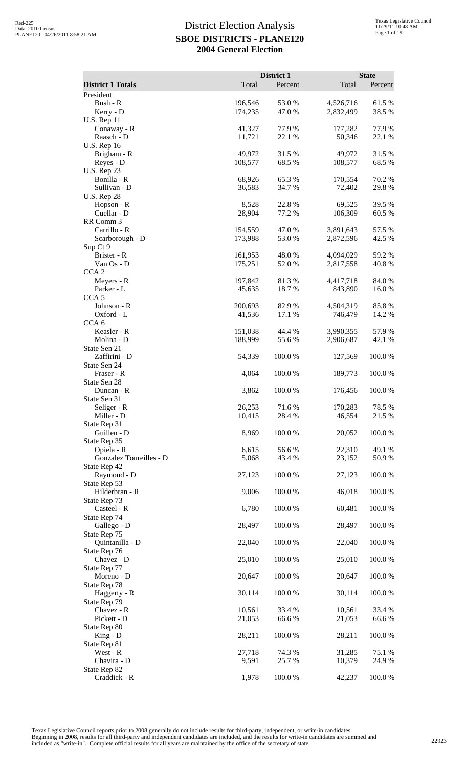| <b>District 1 Totals</b>                               | Total              | District 1<br>Percent | Total                  | <b>State</b><br>Percent |
|--------------------------------------------------------|--------------------|-----------------------|------------------------|-------------------------|
| President                                              |                    |                       |                        |                         |
| Bush - R<br>Kerry - D                                  | 196,546<br>174,235 | 53.0 %<br>47.0%       | 4,526,716<br>2,832,499 | 61.5%<br>38.5 %         |
| <b>U.S. Rep 11</b><br>Conaway - R<br>Raasch - D        | 41,327<br>11,721   | 77.9 %<br>22.1 %      | 177,282<br>50,346      | 77.9 %<br>22.1 %        |
| <b>U.S. Rep 16</b><br>Brigham - R                      | 49,972             | 31.5 %                | 49,972                 | 31.5 %                  |
| Reyes - D<br><b>U.S. Rep 23</b><br>Bonilla - R         | 108,577<br>68,926  | 68.5 %<br>65.3%       | 108,577<br>170,554     | 68.5 %<br>70.2 %        |
| Sullivan - D<br><b>U.S. Rep 28</b><br>Hopson - R       | 36,583<br>8,528    | 34.7 %<br>22.8%       | 72,402<br>69,525       | 29.8%<br>39.5 %         |
| Cuellar - D<br>RR Comm 3                               | 28,904             | 77.2 %                | 106,309                | 60.5 %                  |
| Carrillo - R<br>Scarborough - D<br>Sup Ct 9            | 154,559<br>173,988 | 47.0%<br>53.0 %       | 3,891,643<br>2,872,596 | 57.5 %<br>42.5 %        |
| Brister - R<br>Van Os - D                              | 161,953<br>175,251 | 48.0%<br>52.0 %       | 4,094,029<br>2,817,558 | 59.2 %<br>40.8%         |
| CCA <sub>2</sub><br>Meyers - R<br>Parker - L           | 197,842<br>45,635  | 81.3%<br>18.7%        | 4,417,718<br>843,890   | 84.0%<br>16.0%          |
| CCA <sub>5</sub><br>Johnson - R<br>Oxford - L          | 200,693<br>41,536  | 82.9 %<br>17.1 %      | 4,504,319<br>746,479   | 85.8%<br>14.2 %         |
| CCA <sub>6</sub><br>Keasler - R<br>Molina - D          | 151,038<br>188,999 | 44.4 %<br>55.6 %      | 3,990,355<br>2,906,687 | 57.9%<br>42.1 %         |
| State Sen 21<br>Zaffirini - D<br>State Sen 24          | 54,339             | 100.0%                | 127,569                | 100.0%                  |
| Fraser - R<br>State Sen 28                             | 4,064              | 100.0%                | 189,773                | 100.0%                  |
| Duncan - R<br>State Sen 31<br>Seliger - R              | 3,862<br>26,253    | 100.0 %<br>71.6 %     | 176,456<br>170,283     | 100.0 %<br>78.5 %       |
| Miller - D<br>State Rep 31<br>Guillen - D              | 10,415<br>8,969    | 28.4 %<br>100.0%      | 46,554<br>20,052       | 21.5 %<br>100.0%        |
| State Rep 35<br>Opiela - R                             | 6,615              | 56.6%                 | 22,310                 | 49.1 %                  |
| Gonzalez Toureilles - D<br>State Rep 42<br>Raymond - D | 5,068<br>27,123    | 43.4 %<br>100.0%      | 23,152<br>27,123       | 50.9%<br>100.0%         |
| State Rep 53<br>Hilderbran - R<br>State Rep 73         | 9,006              | 100.0%                | 46,018                 | $100.0~\%$              |
| Casteel - R<br>State Rep 74                            | 6,780              | 100.0%                | 60,481                 | 100.0%                  |
| Gallego - D<br>State Rep 75<br>Quintanilla - D         | 28,497<br>22,040   | 100.0%<br>100.0%      | 28,497<br>22,040       | 100.0%<br>100.0%        |
| State Rep 76<br>Chavez - D                             | 25,010             | 100.0 %               | 25,010                 | 100.0%                  |
| State Rep 77<br>Moreno - D<br>State Rep 78             | 20,647             | 100.0 %               | 20,647                 | 100.0%                  |
| Haggerty - R<br>State Rep 79                           | 30,114             | 100.0%                | 30,114                 | 100.0%                  |
| Chavez - R<br>Pickett - D<br>State Rep 80              | 10,561<br>21,053   | 33.4 %<br>66.6%       | 10,561<br>21,053       | 33.4 %<br>66.6%         |
| $King - D$<br>State Rep 81<br>West - R                 | 28,211<br>27,718   | 100.0%<br>74.3 %      | 28,211<br>31,285       | 100.0%                  |
| Chavira - D<br>State Rep 82                            | 9,591              | 25.7 %                | 10,379                 | 75.1 %<br>24.9 %        |
| Craddick - R                                           | 1,978              | 100.0%                | 42,237                 | 100.0%                  |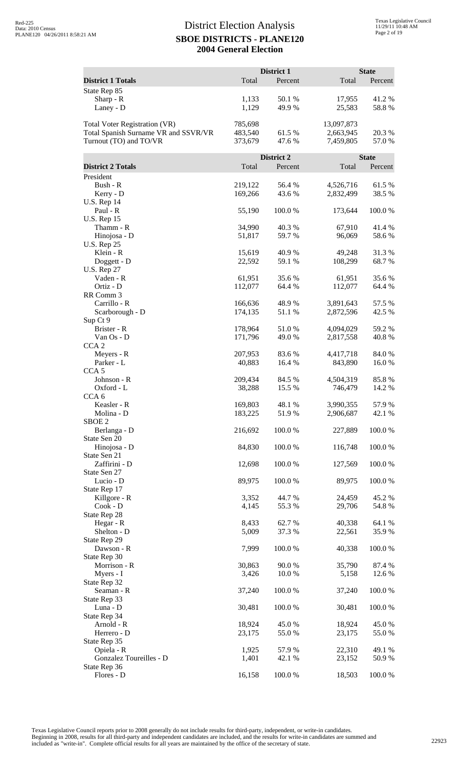|                                                                                                        |                               | District 1       |                                      | <b>State</b>     |
|--------------------------------------------------------------------------------------------------------|-------------------------------|------------------|--------------------------------------|------------------|
| <b>District 1 Totals</b>                                                                               | Total                         | Percent          | Total                                | Percent          |
| State Rep 85<br>Sharp - R<br>Laney - D                                                                 | 1,133<br>1,129                | 50.1 %<br>49.9%  | 17,955<br>25,583                     | 41.2%<br>58.8%   |
| <b>Total Voter Registration (VR)</b><br>Total Spanish Surname VR and SSVR/VR<br>Turnout (TO) and TO/VR | 785,698<br>483,540<br>373,679 | 61.5 %<br>47.6 % | 13,097,873<br>2,663,945<br>7,459,805 | 20.3 %<br>57.0 % |
|                                                                                                        |                               | District 2       |                                      | <b>State</b>     |
| <b>District 2 Totals</b>                                                                               | Total                         | Percent          | Total                                | Percent          |
| President                                                                                              |                               |                  |                                      |                  |
| Bush - R<br>Kerry - D<br><b>U.S. Rep 14</b>                                                            | 219,122<br>169,266            | 56.4 %<br>43.6 % | 4,526,716<br>2,832,499               | 61.5%<br>38.5 %  |
| Paul - R                                                                                               | 55,190                        | 100.0%           | 173,644                              | 100.0%           |
| <b>U.S. Rep 15</b>                                                                                     |                               |                  |                                      |                  |
| Thamm - R<br>Hinojosa - D                                                                              | 34,990<br>51,817              | 40.3%<br>59.7 %  | 67,910<br>96,069                     | 41.4%<br>58.6%   |
| <b>U.S. Rep 25</b>                                                                                     |                               |                  |                                      |                  |
| Klein - R                                                                                              | 15,619                        | 40.9 %           | 49,248                               | 31.3%            |
| Doggett - D<br><b>U.S. Rep 27</b>                                                                      | 22,592                        | 59.1 %           | 108,299                              | 68.7%            |
| Vaden - R                                                                                              | 61,951                        | 35.6 %           | 61,951                               | 35.6%            |
| Ortiz - D                                                                                              | 112,077                       | 64.4 %           | 112,077                              | 64.4 %           |
| RR Comm 3<br>Carrillo - R                                                                              |                               |                  |                                      |                  |
| Scarborough - D                                                                                        | 166,636<br>174,135            | 48.9%<br>51.1%   | 3,891,643<br>2,872,596               | 57.5 %<br>42.5 % |
| Sup Ct 9                                                                                               |                               |                  |                                      |                  |
| Brister - R                                                                                            | 178,964                       | 51.0%            | 4,094,029                            | 59.2 %           |
| Van Os - D                                                                                             | 171,796                       | 49.0 %           | 2,817,558                            | 40.8%            |
| CCA <sub>2</sub><br>Meyers - R<br>Parker - L                                                           | 207,953<br>40,883             | 83.6%<br>16.4 %  | 4,417,718<br>843,890                 | 84.0 %<br>16.0%  |
| CCA <sub>5</sub>                                                                                       |                               |                  |                                      |                  |
| Johnson - R<br>Oxford - L<br>CCA <sub>6</sub>                                                          | 209,434<br>38,288             | 84.5 %<br>15.5 % | 4,504,319<br>746,479                 | 85.8%<br>14.2 %  |
| Keasler - R<br>Molina - D                                                                              | 169,803<br>183,225            | 48.1 %<br>51.9%  | 3,990,355<br>2,906,687               | 57.9%<br>42.1 %  |
| SBOE <sub>2</sub><br>Berlanga - D                                                                      | 216,692                       | 100.0%           | 227,889                              | 100.0%           |
| State Sen 20<br>Hinojosa - D<br>State Sen 21                                                           | 84,830                        | 100.0%           | 116,748                              | 100.0%           |
| Zaffirini - D                                                                                          | 12,698                        | 100.0%           | 127,569                              | 100.0%           |
| State Sen 27<br>Lucio - D                                                                              | 89,975                        | 100.0%           | 89,975                               | 100.0%           |
| State Rep 17                                                                                           |                               |                  |                                      |                  |
| Killgore - R                                                                                           | 3,352                         | 44.7%            | 24,459                               | 45.2 %           |
| Cook - D                                                                                               | 4,145                         | 55.3 %           | 29,706                               | 54.8%            |
| State Rep 28<br>Hegar - R                                                                              | 8,433                         | 62.7%            | 40,338                               | 64.1 %           |
| Shelton - D                                                                                            | 5,009                         | 37.3 %           | 22,561                               | 35.9%            |
| State Rep 29                                                                                           |                               |                  |                                      |                  |
| Dawson - R                                                                                             | 7,999                         | 100.0%           | 40,338                               | 100.0%           |
| State Rep 30<br>Morrison - R                                                                           | 30,863                        | 90.0%            | 35,790                               | 87.4 %           |
| Myers - I                                                                                              | 3,426                         | 10.0 %           | 5,158                                | 12.6 %           |
| State Rep 32                                                                                           |                               |                  |                                      |                  |
| Seaman - R<br>State Rep 33                                                                             | 37,240                        | 100.0%           | 37,240                               | 100.0%           |
| Luna - D<br>State Rep 34                                                                               | 30,481                        | 100.0%           | 30,481                               | 100.0%           |
| Arnold - R                                                                                             | 18,924                        | 45.0 %           | 18,924                               | 45.0%            |
| Herrero - D                                                                                            | 23,175                        | 55.0%            | 23,175                               | 55.0%            |
| State Rep 35<br>Opiela - R                                                                             | 1,925                         | 57.9%            | 22,310                               | 49.1 %           |
| Gonzalez Toureilles - D                                                                                | 1,401                         | 42.1 %           | 23,152                               | 50.9%            |
| State Rep 36                                                                                           |                               |                  |                                      |                  |
| Flores - D                                                                                             | 16,158                        | 100.0%           | 18,503                               | 100.0%           |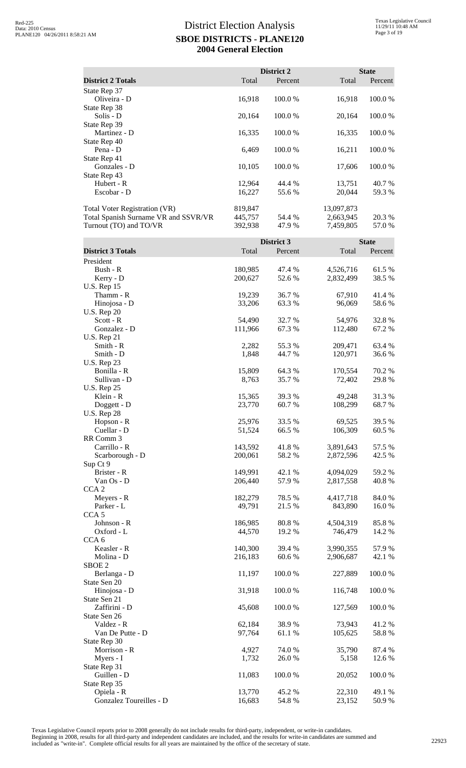|                                      |         | District 2 |            | <b>State</b> |
|--------------------------------------|---------|------------|------------|--------------|
| <b>District 2 Totals</b>             | Total   | Percent    | Total      | Percent      |
| State Rep 37                         |         |            |            |              |
| Oliveira - D                         | 16,918  | 100.0%     | 16,918     | 100.0 %      |
| State Rep 38                         |         |            |            |              |
| Solis - D                            | 20,164  | 100.0%     | 20,164     | 100.0 %      |
| State Rep 39                         |         |            |            |              |
| Martinez - D                         | 16,335  | 100.0%     | 16,335     | 100.0 %      |
| State Rep 40                         |         |            |            |              |
| Pena - D                             | 6,469   | 100.0%     | 16,211     | 100.0 %      |
| State Rep 41                         |         |            |            |              |
| Gonzales - D                         | 10,105  | 100.0%     | 17,606     | 100.0 %      |
| State Rep 43                         |         |            |            |              |
| Hubert - R                           | 12,964  | 44.4 %     | 13,751     | 40.7 %       |
| Escobar - D                          | 16,227  | 55.6 %     | 20,044     | 59.3 %       |
| <b>Total Voter Registration (VR)</b> | 819,847 |            | 13,097,873 |              |
| Total Spanish Surname VR and SSVR/VR | 445,757 | 54.4 %     | 2,663,945  | 20.3 %       |
| Turnout (TO) and TO/VR               | 392,938 | 47.9 %     | 7,459,805  | 57.0 %       |

|                          |         | District 3 |           | <b>State</b> |
|--------------------------|---------|------------|-----------|--------------|
| <b>District 3 Totals</b> | Total   | Percent    | Total     | Percent      |
| President                |         |            |           |              |
| Bush - R                 | 180,985 | 47.4 %     | 4,526,716 | 61.5%        |
| Kerry - D                | 200,627 | 52.6 %     | 2,832,499 | 38.5 %       |
| <b>U.S. Rep 15</b>       |         |            |           |              |
| Thamm - R                | 19,239  | 36.7%      | 67,910    | 41.4 %       |
| Hinojosa - D             | 33,206  | 63.3%      | 96,069    | 58.6%        |
| <b>U.S. Rep 20</b>       |         |            |           |              |
| $Scott - R$              | 54,490  | 32.7 %     | 54,976    | 32.8%        |
| Gonzalez - D             | 111,966 | 67.3 %     | 112,480   | 67.2 %       |
| <b>U.S. Rep 21</b>       |         |            |           |              |
| Smith - R                | 2,282   | 55.3%      | 209,471   | 63.4 %       |
| Smith - D                | 1,848   | 44.7%      | 120,971   | 36.6%        |
| <b>U.S. Rep 23</b>       |         |            |           |              |
| Bonilla - R              | 15,809  | 64.3 %     | 170,554   | 70.2 %       |
| Sullivan - D             | 8,763   | 35.7%      | 72,402    | 29.8%        |
| <b>U.S. Rep 25</b>       |         |            |           |              |
| Klein - R                | 15,365  | 39.3 %     | 49,248    | 31.3%        |
| Doggett - D              | 23,770  | 60.7%      | 108,299   | 68.7%        |
| <b>U.S. Rep 28</b>       |         |            |           |              |
| Hopson - R               | 25,976  | 33.5 %     | 69,525    | 39.5 %       |
| Cuellar - D              | 51,524  | 66.5%      | 106,309   | 60.5 %       |
| RR Comm 3                |         |            |           |              |
| Carrillo - R             | 143,592 | 41.8%      | 3,891,643 | 57.5 %       |
| Scarborough - D          | 200,061 | 58.2%      | 2,872,596 | 42.5 %       |
| Sup Ct 9                 |         |            |           |              |
| Brister - R              | 149,991 | 42.1 %     | 4,094,029 | 59.2 %       |
| Van Os - D               | 206,440 | 57.9%      | 2,817,558 | 40.8%        |
| CCA <sub>2</sub>         |         |            |           |              |
| Meyers - R               | 182,279 | 78.5 %     | 4,417,718 | 84.0%        |
| Parker - L               | 49,791  | 21.5 %     | 843,890   | 16.0%        |
| CCA <sub>5</sub>         |         |            |           |              |
| Johnson - R              | 186,985 | 80.8%      | 4,504,319 | 85.8%        |
| Oxford - L               | 44,570  | 19.2 %     | 746,479   | 14.2 %       |
| CCA <sub>6</sub>         |         |            |           |              |
| Keasler - R              | 140,300 | 39.4 %     | 3,990,355 | 57.9%        |
| Molina - D               | 216,183 | 60.6 %     | 2,906,687 | 42.1 %       |
| SBOE <sub>2</sub>        |         |            |           |              |
| Berlanga - D             | 11,197  | 100.0%     | 227,889   | 100.0%       |
| State Sen 20             |         |            |           |              |
| Hinojosa - D             | 31,918  | 100.0%     | 116,748   | 100.0%       |
| State Sen 21             |         |            |           |              |
| Zaffirini - D            | 45,608  | 100.0%     | 127,569   | 100.0%       |
| State Sen 26             |         |            |           |              |
| Valdez - R               | 62,184  | 38.9%      | 73,943    | 41.2 %       |
| Van De Putte - D         | 97,764  | 61.1%      | 105,625   | 58.8%        |
| State Rep 30             |         |            |           |              |
| Morrison - R             | 4,927   | 74.0 %     | 35,790    | 87.4 %       |
| Myers - I                | 1,732   | 26.0%      | 5,158     | 12.6 %       |
| State Rep 31             |         |            |           |              |
| Guillen - D              | 11,083  | 100.0%     | 20,052    | 100.0%       |
| State Rep 35             |         |            |           |              |
| Opiela - R               | 13,770  | 45.2 %     | 22,310    | 49.1 %       |
| Gonzalez Toureilles - D  | 16,683  | 54.8%      | 23,152    | 50.9%        |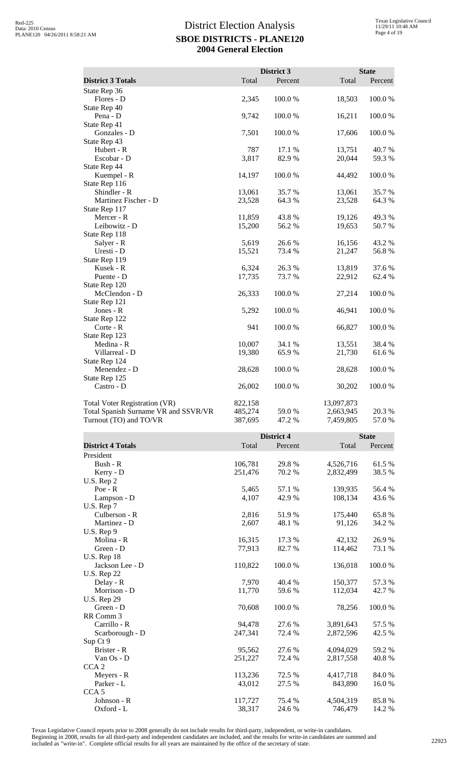|                                      |         | District 3 |            | <b>State</b> |
|--------------------------------------|---------|------------|------------|--------------|
| <b>District 3 Totals</b>             | Total   | Percent    | Total      | Percent      |
| State Rep 36                         |         |            |            |              |
| Flores - D                           | 2,345   | 100.0%     | 18,503     | 100.0%       |
| State Rep 40                         |         |            |            |              |
| Pena - D                             | 9,742   | 100.0%     | 16,211     | 100.0%       |
| State Rep 41                         |         |            |            |              |
| Gonzales - D                         | 7,501   | 100.0%     | 17,606     | 100.0%       |
| State Rep 43                         |         |            |            |              |
| Hubert - R                           | 787     | 17.1 %     | 13,751     | 40.7 %       |
| Escobar - D                          | 3,817   | 82.9%      | 20,044     | 59.3%        |
| State Rep 44                         |         |            |            |              |
| Kuempel - R                          | 14,197  | 100.0%     | 44,492     | 100.0%       |
| State Rep 116                        |         |            |            |              |
| Shindler - R                         | 13,061  | 35.7%      | 13,061     | 35.7%        |
| Martinez Fischer - D                 | 23,528  | 64.3 %     | 23,528     | 64.3 %       |
| State Rep 117                        |         |            |            |              |
| Mercer - R                           | 11,859  | 43.8%      | 19,126     | 49.3%        |
| Leibowitz - D                        | 15,200  | 56.2%      | 19,653     | 50.7%        |
| State Rep 118                        |         |            |            |              |
| Salyer - R                           | 5,619   | 26.6 %     | 16,156     | 43.2 %       |
| Uresti - D                           | 15,521  | 73.4 %     | 21,247     | 56.8%        |
| State Rep 119                        |         |            |            |              |
| Kusek - R                            | 6,324   | 26.3%      | 13,819     | 37.6%        |
| Puente - D                           | 17,735  | 73.7%      | 22,912     | 62.4 %       |
| State Rep 120                        |         |            |            |              |
| McClendon - D                        | 26,333  | 100.0%     | 27,214     | 100.0%       |
| State Rep 121                        |         |            |            |              |
| Jones - R                            | 5,292   | 100.0%     | 46,941     | 100.0%       |
| State Rep 122                        |         |            |            |              |
| Corte - R                            | 941     | 100.0%     | 66,827     | 100.0%       |
| State Rep 123                        |         |            |            |              |
| Medina - R                           | 10,007  | 34.1 %     | 13,551     | 38.4 %       |
| Villarreal - D                       | 19,380  | 65.9%      | 21,730     | 61.6%        |
| State Rep 124                        |         |            |            |              |
| Menendez - D                         | 28,628  | 100.0%     | 28,628     | 100.0%       |
| State Rep 125                        |         |            |            |              |
| Castro - D                           | 26,002  | 100.0%     | 30,202     | 100.0%       |
| <b>Total Voter Registration (VR)</b> | 822,158 |            | 13,097,873 |              |
| Total Spanish Surname VR and SSVR/VR | 485,274 | 59.0%      | 2,663,945  | 20.3 %       |
| Turnout (TO) and TO/VR               | 387,695 | 47.2 %     | 7,459,805  | 57.0%        |

|                          |         | <b>District 4</b> |           | <b>State</b> |
|--------------------------|---------|-------------------|-----------|--------------|
| <b>District 4 Totals</b> | Total   | Percent           | Total     | Percent      |
| President                |         |                   |           |              |
| Bush - R                 | 106,781 | 29.8%             | 4,526,716 | 61.5 %       |
| Kerry - D                | 251,476 | 70.2 %            | 2,832,499 | 38.5%        |
| U.S. Rep 2               |         |                   |           |              |
| Poe - R                  | 5,465   | 57.1 %            | 139,935   | 56.4%        |
| Lampson - D              | 4,107   | 42.9 %            | 108,134   | 43.6 %       |
| U.S. Rep 7               |         |                   |           |              |
| Culberson - R            | 2,816   | 51.9%             | 175,440   | 65.8%        |
| Martinez - D             | 2,607   | 48.1 %            | 91,126    | 34.2 %       |
| U.S. Rep 9               |         |                   |           |              |
| Molina - R               | 16,315  | 17.3 %            | 42,132    | 26.9%        |
| Green - D                | 77,913  | 82.7 %            | 114,462   | 73.1 %       |
| <b>U.S. Rep 18</b>       |         |                   |           |              |
| Jackson Lee - D          | 110,822 | 100.0%            | 136,018   | 100.0%       |
| <b>U.S. Rep 22</b>       |         |                   |           |              |
| Delay - R                | 7,970   | 40.4 %            | 150,377   | 57.3 %       |
| Morrison - D             | 11,770  | 59.6 %            | 112,034   | 42.7 %       |
| <b>U.S. Rep 29</b>       |         |                   |           |              |
| Green - D                | 70,608  | 100.0%            | 78,256    | 100.0%       |
| RR Comm 3                |         |                   |           |              |
| Carrillo - R             | 94,478  | 27.6 %            | 3,891,643 | 57.5 %       |
| Scarborough - D          | 247,341 | 72.4 %            | 2,872,596 | 42.5 %       |
| Sup Ct 9                 |         |                   |           |              |
| Brister - R              | 95,562  | 27.6 %            | 4,094,029 | 59.2 %       |
| Van $Os$ - $D$           | 251,227 | 72.4 %            | 2,817,558 | 40.8%        |
| CCA <sub>2</sub>         |         |                   |           |              |
| Meyers - R               | 113,236 | 72.5 %            | 4,417,718 | 84.0%        |
| Parker - L               | 43,012  | 27.5 %            | 843,890   | 16.0%        |
| CCA <sub>5</sub>         |         |                   |           |              |
| Johnson - R              | 117,727 | 75.4 %            | 4,504,319 | 85.8%        |
| Oxford - L               | 38,317  | 24.6 %            | 746,479   | 14.2 %       |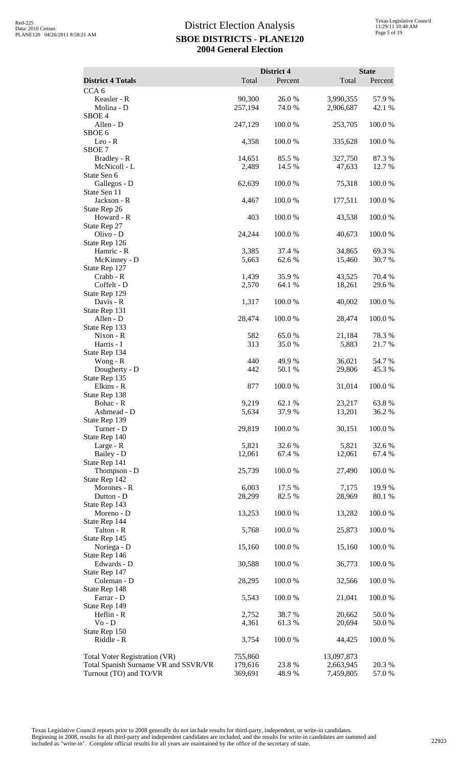|                                                                       |                    | District 4       |                         | <b>State</b>     |
|-----------------------------------------------------------------------|--------------------|------------------|-------------------------|------------------|
| <b>District 4 Totals</b>                                              | Total              | Percent          | Total                   | Percent          |
| CCA <sub>6</sub><br>Keasler - R                                       | 90,300             | 26.0%            | 3,990,355               | 57.9 %           |
| Molina - D                                                            | 257,194            | 74.0 %           | 2,906,687               | 42.1 %           |
| SBOE <sub>4</sub>                                                     |                    |                  |                         |                  |
| Allen - D<br>SBOE <sub>6</sub>                                        | 247,129            | 100.0%           | 253,705                 | 100.0%           |
| $Leo-R$                                                               | 4,358              | 100.0%           | 335,628                 | 100.0%           |
| SBOE <sub>7</sub>                                                     |                    |                  |                         |                  |
| Bradley - R<br>McNicoll - L                                           | 14,651<br>2,489    | 85.5 %<br>14.5 % | 327,750                 | 87.3%<br>12.7 %  |
| State Sen 6                                                           |                    |                  | 47,633                  |                  |
| Gallegos - D                                                          | 62,639             | 100.0%           | 75,318                  | 100.0%           |
| State Sen 11                                                          |                    |                  |                         |                  |
| Jackson - R<br>State Rep 26                                           | 4,467              | 100.0%           | 177,511                 | 100.0%           |
| Howard - R                                                            | 403                | 100.0%           | 43,538                  | 100.0%           |
| State Rep 27                                                          |                    |                  |                         |                  |
| Olivo - D<br>State Rep 126                                            | 24,244             | 100.0%           | 40,673                  | 100.0%           |
| Hamric - R                                                            | 3,385              | 37.4 %           | 34,865                  | 69.3%            |
| McKinney - D                                                          | 5,663              | 62.6%            | 15,460                  | 30.7%            |
| State Rep 127<br>Crabb - R                                            | 1,439              | 35.9%            | 43,525                  | 70.4 %           |
| Coffelt - D                                                           | 2,570              | 64.1 %           | 18,261                  | 29.6%            |
| State Rep 129                                                         |                    |                  |                         |                  |
| Davis - R<br>State Rep 131                                            | 1,317              | 100.0%           | 40,002                  | 100.0%           |
| Allen - D                                                             | 28,474             | 100.0%           | 28,474                  | 100.0%           |
| State Rep 133                                                         |                    |                  |                         |                  |
| Nixon - R                                                             | 582                | 65.0%            | 21,184                  | 78.3%            |
| Harris - I<br>State Rep 134                                           | 313                | 35.0 %           | 5,883                   | 21.7%            |
| Wong - R                                                              | 440                | 49.9%            | 36,021                  | 54.7 %           |
| Dougherty - D                                                         | 442                | 50.1 %           | 29,806                  | 45.3%            |
| State Rep 135<br>Elkins - R                                           | 877                | 100.0 %          | 31,014                  | 100.0 %          |
| State Rep 138                                                         |                    |                  |                         |                  |
| Bohac - R                                                             | 9,219              | 62.1 %           | 23,217                  | 63.8%            |
| Ashmead - D<br>State Rep 139                                          | 5,634              | 37.9%            | 13,201                  | 36.2%            |
| Turner - D                                                            | 29,819             | 100.0%           | 30,151                  | 100.0%           |
| State Rep 140                                                         |                    |                  |                         |                  |
| Large - R                                                             | 5,821              | 32.6 %<br>67.4 % | 5,821                   | 32.6 %<br>67.4 % |
| Bailey - D<br>State Rep 141                                           | 12,061             |                  | 12,061                  |                  |
| Thompson - D                                                          | 25,739             | 100.0%           | 27,490                  | 100.0%           |
| State Rep 142                                                         |                    |                  |                         |                  |
| Morones - R<br>Dutton - D                                             | 6,003<br>28,299    | 17.5 %<br>82.5 % | 7,175<br>28,969         | 19.9 %<br>80.1 % |
| State Rep 143                                                         |                    |                  |                         |                  |
| Moreno - D                                                            | 13,253             | 100.0%           | 13,282                  | 100.0%           |
| State Rep 144<br>Talton - R                                           | 5,768              | 100.0 %          | 25,873                  | 100.0%           |
| State Rep 145                                                         |                    |                  |                         |                  |
| Noriega - D                                                           | 15,160             | 100.0 %          | 15,160                  | 100.0%           |
| State Rep 146<br>Edwards - D                                          | 30,588             | 100.0%           | 36,773                  | 100.0%           |
| State Rep 147                                                         |                    |                  |                         |                  |
| Coleman - D                                                           | 28,295             | 100.0 %          | 32,566                  | 100.0 %          |
| State Rep 148<br>Farrar - D                                           | 5,543              | 100.0%           | 21,041                  | 100.0%           |
| State Rep 149                                                         |                    |                  |                         |                  |
| Heflin - R                                                            | 2,752              | 38.7%            | 20,662                  | 50.0%            |
| $Vo - D$                                                              | 4,361              | 61.3%            | 20,694                  | 50.0%            |
| State Rep 150<br>Riddle - R                                           | 3,754              | 100.0%           | 44,425                  | 100.0 %          |
|                                                                       |                    |                  |                         |                  |
| Total Voter Registration (VR)<br>Total Spanish Surname VR and SSVR/VR | 755,860<br>179,616 | 23.8%            | 13,097,873<br>2,663,945 | 20.3 %           |
| Turnout (TO) and TO/VR                                                | 369,691            | 48.9%            | 7,459,805               | 57.0%            |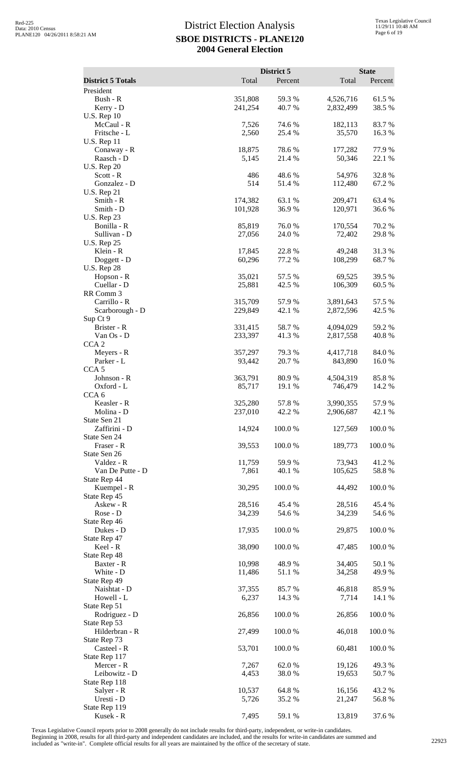|                                    |                    | District 5       |                        | <b>State</b>    |
|------------------------------------|--------------------|------------------|------------------------|-----------------|
| <b>District 5 Totals</b>           | Total              | Percent          | Total                  | Percent         |
| President<br>Bush - R              | 351,808            | 59.3%            | 4,526,716              | 61.5%           |
| Kerry - D                          | 241,254            | 40.7 %           | 2,832,499              | 38.5 %          |
| <b>U.S. Rep 10</b>                 |                    |                  |                        |                 |
| McCaul - R                         | 7,526              | 74.6 %           | 182,113                | 83.7%           |
| Fritsche - L<br><b>U.S. Rep 11</b> | 2,560              | 25.4 %           | 35,570                 | 16.3 %          |
| Conaway - R                        | 18,875             | 78.6%            | 177,282                | 77.9%           |
| Raasch - D                         | 5,145              | 21.4 %           | 50,346                 | 22.1 %          |
| <b>U.S. Rep 20</b>                 |                    |                  |                        |                 |
| Scott - R<br>Gonzalez - D          | 486<br>514         | 48.6%<br>51.4%   | 54,976<br>112,480      | 32.8%<br>67.2%  |
| <b>U.S. Rep 21</b>                 |                    |                  |                        |                 |
| Smith - R                          | 174,382            | 63.1 %           | 209,471                | 63.4 %          |
| Smith - D                          | 101,928            | 36.9 %           | 120,971                | 36.6 %          |
| <b>U.S. Rep 23</b>                 | 85,819             | 76.0%            |                        | 70.2 %          |
| Bonilla - R<br>Sullivan - D        | 27,056             | 24.0 %           | 170,554<br>72,402      | 29.8%           |
| <b>U.S. Rep 25</b>                 |                    |                  |                        |                 |
| Klein - R                          | 17,845             | 22.8 %           | 49,248                 | 31.3%           |
| Doggett - D                        | 60,296             | 77.2 %           | 108,299                | 68.7%           |
| <b>U.S. Rep 28</b><br>Hopson - R   | 35,021             | 57.5 %           | 69,525                 | 39.5 %          |
| Cuellar - D                        | 25,881             | 42.5 %           | 106,309                | 60.5 %          |
| RR Comm 3                          |                    |                  |                        |                 |
| Carrillo - R                       | 315,709            | 57.9 %           | 3,891,643              | 57.5 %          |
| Scarborough - D<br>Sup Ct 9        | 229,849            | 42.1 %           | 2,872,596              | 42.5 %          |
| Brister - R                        | 331,415            | 58.7 %           | 4,094,029              | 59.2 %          |
| Van Os - D                         | 233,397            | 41.3 %           | 2,817,558              | 40.8%           |
| CCA <sub>2</sub>                   |                    |                  |                        |                 |
| Meyers - R<br>Parker - L           | 357,297<br>93,442  | 79.3 %<br>20.7 % | 4,417,718<br>843,890   | 84.0 %<br>16.0% |
| CCA <sub>5</sub>                   |                    |                  |                        |                 |
| Johnson - R                        | 363,791            | 80.9%            | 4,504,319              | 85.8%           |
| Oxford - L                         | 85,717             | 19.1 %           | 746,479                | 14.2 %          |
| CCA <sub>6</sub>                   |                    |                  |                        |                 |
| Keasler - R<br>Molina - D          | 325,280<br>237,010 | 57.8 %<br>42.2 % | 3,990,355<br>2,906,687 | 57.9%<br>42.1 % |
| State Sen 21                       |                    |                  |                        |                 |
| Zaffirini - D                      | 14,924             | 100.0%           | 127,569                | 100.0%          |
| State Sen 24                       |                    |                  |                        |                 |
| Fraser - R<br>State Sen 26         | 39,553             | 100.0%           | 189,773                | 100.0%          |
| Valdez - R                         | 11,759             | 59.9%            | 73,943                 | 41.2%           |
| Van De Putte - D                   | 7,861              | 40.1 %           | 105,625                | 58.8%           |
| State Rep 44                       |                    |                  |                        |                 |
| Kuempel - R<br>State Rep 45        | 30,295             | 100.0%           | 44,492                 | 100.0%          |
| Askew - R                          | 28,516             | 45.4 %           | 28,516                 | 45.4 %          |
| Rose - D                           | 34,239             | 54.6 %           | 34,239                 | 54.6 %          |
| State Rep 46                       |                    |                  |                        |                 |
| Dukes - D<br>State Rep 47          | 17,935             | 100.0%           | 29,875                 | 100.0%          |
| Keel - R                           | 38,090             | 100.0%           | 47,485                 | 100.0%          |
| State Rep 48                       |                    |                  |                        |                 |
| Baxter - R                         | 10,998             | 48.9 %           | 34,405                 | 50.1 %          |
| White - D                          | 11,486             | 51.1%            | 34,258                 | 49.9%           |
| State Rep 49<br>Naishtat - D       | 37,355             | 85.7%            | 46,818                 | 85.9%           |
| Howell - L                         | 6,237              | 14.3 %           | 7,714                  | 14.1 %          |
| State Rep 51                       |                    |                  |                        |                 |
| Rodriguez - D                      | 26,856             | 100.0%           | 26,856                 | 100.0%          |
| State Rep 53<br>Hilderbran - R     | 27,499             | 100.0%           | 46,018                 | 100.0%          |
| State Rep 73                       |                    |                  |                        |                 |
| Casteel - R                        | 53,701             | 100.0%           | 60,481                 | 100.0%          |
| State Rep 117                      |                    |                  |                        |                 |
| Mercer - R<br>Leibowitz - D        | 7,267<br>4,453     | 62.0%<br>38.0%   | 19,126<br>19,653       | 49.3 %<br>50.7% |
| State Rep 118                      |                    |                  |                        |                 |
| Salyer - R                         | 10,537             | 64.8%            | 16,156                 | 43.2 %          |
| Uresti - D                         | 5,726              | 35.2 %           | 21,247                 | 56.8%           |
| State Rep 119<br>Kusek - R         | 7,495              | 59.1 %           | 13,819                 |                 |
|                                    |                    |                  |                        | 37.6 %          |

Texas Legislative Council reports prior to 2008 generally do not include results for third-party, independent, or write-in candidates.

Beginning in 2008, results for all third-party and independent candidates are included, and the results for write-in candidates are summed and<br>included as "write-in". Complete official results for all years are maintained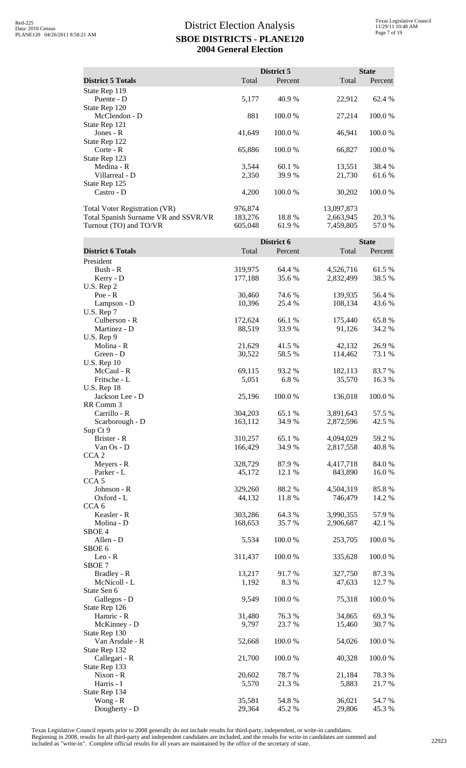|                                      |         | District 5 |            | <b>State</b> |
|--------------------------------------|---------|------------|------------|--------------|
| <b>District 5 Totals</b>             | Total   | Percent    | Total      | Percent      |
| State Rep 119                        |         |            |            |              |
| Puente - D                           | 5,177   | 40.9 %     | 22,912     | 62.4 %       |
| State Rep 120                        |         |            |            |              |
| McClendon - D                        | 881     | 100.0 %    | 27,214     | 100.0 %      |
| State Rep 121                        |         |            |            |              |
| Jones - $R$                          | 41,649  | 100.0%     | 46,941     | 100.0 %      |
| State Rep 122                        |         |            |            |              |
| $\text{Corte} - R$                   | 65,886  | 100.0%     | 66,827     | 100.0 %      |
| State Rep 123                        |         |            |            |              |
| Medina - R                           | 3,544   | 60.1 %     | 13,551     | 38.4 %       |
| Villarreal - D                       | 2,350   | 39.9 %     | 21,730     | 61.6 %       |
| State Rep 125                        |         |            |            |              |
| Castro - D                           | 4,200   | 100.0 %    | 30,202     | 100.0 %      |
| <b>Total Voter Registration (VR)</b> | 976,874 |            | 13,097,873 |              |
| Total Spanish Surname VR and SSVR/VR | 183,276 | 18.8 %     | 2,663,945  | 20.3 %       |
| Turnout (TO) and TO/VR               | 605,048 | 61.9 %     | 7,459,805  | 57.0 %       |

|                          | District 6 |         |           | <b>State</b> |  |
|--------------------------|------------|---------|-----------|--------------|--|
| <b>District 6 Totals</b> | Total      | Percent | Total     | Percent      |  |
| President                |            |         |           |              |  |
| Bush - R                 | 319,975    | 64.4 %  | 4,526,716 | 61.5%        |  |
| Kerry - D                | 177,188    | 35.6%   | 2,832,499 | 38.5 %       |  |
| U.S. Rep 2               |            |         |           |              |  |
| $Poe - R$                | 30,460     | 74.6 %  | 139,935   | 56.4 %       |  |
| Lampson - D              | 10,396     | 25.4 %  | 108,134   | 43.6 %       |  |
| U.S. Rep 7               |            |         |           |              |  |
| Culberson - R            | 172,624    | 66.1%   | 175,440   | 65.8%        |  |
| Martinez - D             | 88,519     | 33.9%   | 91,126    | 34.2 %       |  |
| U.S. Rep 9               |            |         |           |              |  |
| Molina - R               | 21,629     | 41.5 %  | 42,132    | 26.9%        |  |
| Green - D                | 30,522     | 58.5 %  | 114,462   | 73.1 %       |  |
| <b>U.S. Rep 10</b>       |            |         |           |              |  |
| McCaul - R               | 69,115     | 93.2 %  | 182,113   | 83.7%        |  |
| Fritsche - L             | 5,051      | 6.8%    | 35,570    | 16.3 %       |  |
| <b>U.S. Rep 18</b>       |            |         |           |              |  |
| Jackson Lee - D          | 25,196     | 100.0 % | 136,018   | 100.0%       |  |
| RR Comm 3                |            |         |           |              |  |
| Carrillo - R             | 304,203    | 65.1 %  | 3,891,643 | 57.5 %       |  |
|                          | 163,112    | 34.9%   |           | 42.5 %       |  |
| Scarborough - D          |            |         | 2,872,596 |              |  |
| Sup Ct 9<br>Brister - R  |            |         |           |              |  |
|                          | 310,257    | 65.1 %  | 4,094,029 | 59.2 %       |  |
| Van Os - D               | 166,429    | 34.9%   | 2,817,558 | 40.8%        |  |
| CCA <sub>2</sub>         |            |         |           |              |  |
| Meyers - R               | 328,729    | 87.9%   | 4,417,718 | 84.0%        |  |
| Parker - L               | 45,172     | 12.1 %  | 843,890   | 16.0%        |  |
| CCA <sub>5</sub>         |            |         |           |              |  |
| Johnson - R              | 329,260    | 88.2%   | 4,504,319 | 85.8%        |  |
| Oxford - L               | 44,132     | 11.8 %  | 746,479   | 14.2 %       |  |
| CCA <sub>6</sub>         |            |         |           |              |  |
| Keasler - R              | 303,286    | 64.3%   | 3,990,355 | 57.9%        |  |
| Molina - D               | 168,653    | 35.7%   | 2,906,687 | 42.1 %       |  |
| SBOE <sub>4</sub>        |            |         |           |              |  |
| Allen - D                | 5,534      | 100.0 % | 253,705   | 100.0%       |  |
| SBOE 6                   |            |         |           |              |  |
| $Leo - R$                | 311,437    | 100.0%  | 335,628   | 100.0%       |  |
| SBOE <sub>7</sub>        |            |         |           |              |  |
| Bradley - R              | 13,217     | 91.7 %  | 327,750   | 87.3 %       |  |
| McNicoll - L             | 1,192      | 8.3%    | 47,633    | 12.7 %       |  |
| State Sen 6              |            |         |           |              |  |
| Gallegos - D             | 9,549      | 100.0%  | 75,318    | 100.0%       |  |
| State Rep 126            |            |         |           |              |  |
| Hamric - R               | 31,480     | 76.3 %  | 34,865    | 69.3 %       |  |
| McKinney - D             | 9,797      | 23.7 %  | 15,460    | 30.7%        |  |
| State Rep 130            |            |         |           |              |  |
| Van Arsdale - R          | 52,668     | 100.0%  | 54,026    | 100.0%       |  |
| State Rep 132            |            |         |           |              |  |
| Callegari - R            | 21,700     | 100.0%  | 40,328    | 100.0%       |  |
| State Rep 133            |            |         |           |              |  |
| Nixon - R                | 20,602     | 78.7%   | 21,184    | 78.3%        |  |
| Harris - I               | 5,570      | 21.3%   | 5,883     | 21.7%        |  |
| State Rep 134            |            |         |           |              |  |
| Wong - R                 | 35,581     | 54.8%   | 36,021    | 54.7%        |  |
| Dougherty - D            | 29,364     | 45.2%   | 29,806    | 45.3%        |  |

Texas Legislative Council reports prior to 2008 generally do not include results for third-party, independent, or write-in candidates.

Beginning in 2008, results for all third-party and independent candidates are included, and the results for write-in candidates are summed and<br>included as "write-in". Complete official results for all years are maintained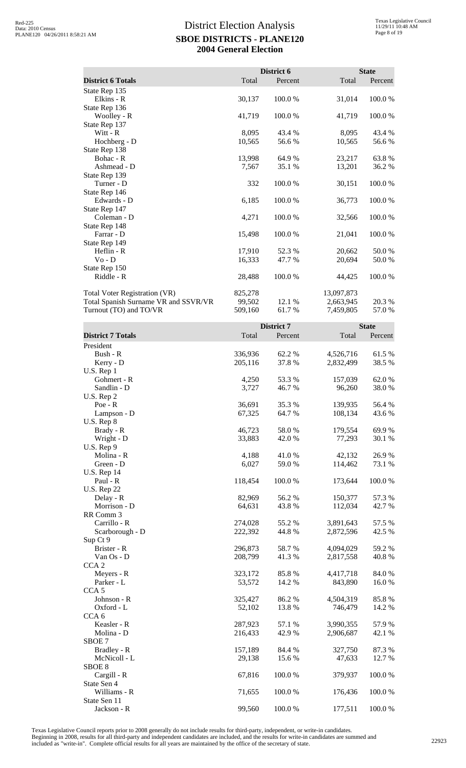|                                      |         | District 6 |            | <b>State</b> |
|--------------------------------------|---------|------------|------------|--------------|
| <b>District 6 Totals</b>             | Total   | Percent    | Total      | Percent      |
| State Rep 135                        |         |            |            |              |
| Elkins - R                           | 30,137  | 100.0%     | 31,014     | 100.0%       |
| State Rep 136                        |         |            |            |              |
| Woolley - R                          | 41,719  | 100.0%     | 41,719     | 100.0%       |
| State Rep 137                        |         |            |            |              |
| Witt - R                             | 8,095   | 43.4 %     | 8,095      | 43.4 %       |
| Hochberg - D                         | 10,565  | 56.6 %     | 10,565     | 56.6 %       |
| State Rep 138                        |         |            |            |              |
| Bohac - R                            | 13,998  | 64.9 %     | 23,217     | 63.8%        |
| Ashmead - D                          | 7,567   | 35.1 %     | 13,201     | 36.2%        |
| State Rep 139                        |         |            |            |              |
| Turner - D                           | 332     | 100.0%     | 30,151     | 100.0%       |
| State Rep 146                        |         |            |            |              |
| Edwards - D                          | 6,185   | 100.0%     | 36,773     | 100.0 %      |
| State Rep 147                        |         |            |            |              |
| Coleman - D                          | 4,271   | 100.0%     | 32,566     | 100.0%       |
| State Rep 148                        |         |            |            |              |
| Farrar - D                           | 15,498  | 100.0%     | 21,041     | 100.0%       |
| State Rep 149                        |         |            |            |              |
| Heflin - R                           | 17,910  | 52.3 %     | 20,662     | 50.0%        |
| $Vo - D$                             | 16,333  | 47.7 %     | 20,694     | 50.0%        |
| State Rep 150                        |         |            |            |              |
| Riddle - R                           | 28,488  | 100.0%     | 44,425     | 100.0%       |
| Total Voter Registration (VR)        | 825,278 |            | 13,097,873 |              |
| Total Spanish Surname VR and SSVR/VR | 99,502  | 12.1 %     | 2,663,945  | 20.3 %       |
| Turnout (TO) and TO/VR               | 509,160 | 61.7%      | 7,459,805  | 57.0 %       |
|                                      |         |            |            |              |

|                          |         | District 7 |           | <b>State</b> |  |
|--------------------------|---------|------------|-----------|--------------|--|
| <b>District 7 Totals</b> | Total   | Percent    | Total     | Percent      |  |
| President                |         |            |           |              |  |
| Bush - R                 | 336,936 | 62.2 %     | 4,526,716 | 61.5%        |  |
| Kerry - D                | 205,116 | 37.8%      | 2,832,499 | 38.5%        |  |
| U.S. Rep 1               |         |            |           |              |  |
| Gohmert - R              | 4,250   | 53.3 %     | 157,039   | 62.0%        |  |
| Sandlin - D              | 3,727   | 46.7%      | 96,260    | 38.0%        |  |
| U.S. Rep 2               |         |            |           |              |  |
| $Poe - R$                | 36,691  | 35.3 %     | 139,935   | 56.4 %       |  |
| Lampson - D              | 67,325  | 64.7%      | 108,134   | 43.6 %       |  |
| U.S. Rep 8               |         |            |           |              |  |
| Brady - R                | 46,723  | 58.0%      | 179,554   | 69.9%        |  |
| Wright - D               | 33,883  | 42.0 %     | 77,293    | 30.1 %       |  |
| U.S. Rep 9               |         |            |           |              |  |
| Molina - R               | 4,188   | 41.0 %     | 42,132    | 26.9 %       |  |
| Green - D                | 6,027   | 59.0%      | 114,462   | 73.1 %       |  |
| <b>U.S. Rep 14</b>       |         |            |           |              |  |
| Paul - R                 | 118,454 | 100.0%     | 173,644   | 100.0%       |  |
| <b>U.S. Rep 22</b>       |         |            |           |              |  |
| Delay - R                | 82,969  | 56.2 %     | 150,377   | 57.3 %       |  |
| Morrison - D             | 64,631  | 43.8 %     | 112,034   | 42.7%        |  |
| RR Comm 3                |         |            |           |              |  |
| Carrillo - R             | 274,028 | 55.2 %     | 3,891,643 | 57.5 %       |  |
| Scarborough - D          | 222,392 | 44.8%      | 2,872,596 | 42.5 %       |  |
| Sup Ct 9                 |         |            |           |              |  |
| Brister - R              | 296,873 | 58.7%      | 4,094,029 | 59.2%        |  |
| Van Os - D               | 208,799 | 41.3%      | 2,817,558 | 40.8%        |  |
| CCA <sub>2</sub>         |         |            |           |              |  |
| Meyers - R               | 323,172 | 85.8%      | 4,417,718 | 84.0%        |  |
| Parker - L               | 53,572  | 14.2 %     | 843,890   | 16.0%        |  |
| CCA <sub>5</sub>         |         |            |           |              |  |
| Johnson - R              | 325,427 | 86.2 %     | 4,504,319 | 85.8%        |  |
| Oxford - L               | 52,102  | 13.8%      | 746,479   | 14.2 %       |  |
| CCA <sub>6</sub>         |         |            |           |              |  |
| Keasler - R              | 287,923 | 57.1 %     | 3,990,355 | 57.9%        |  |
| Molina - D               | 216,433 | 42.9 %     | 2,906,687 | 42.1 %       |  |
| SBOE <sub>7</sub>        |         |            |           |              |  |
| Bradley - R              | 157,189 | 84.4 %     | 327,750   | 87.3 %       |  |
| McNicoll - L             | 29,138  | 15.6%      | 47,633    | 12.7 %       |  |
| SBOE <sub>8</sub>        |         |            |           |              |  |
| Cargill - R              | 67,816  | 100.0%     | 379,937   | 100.0%       |  |
| State Sen 4              |         |            |           |              |  |
| Williams - R             | 71,655  | 100.0 %    | 176,436   | 100.0%       |  |
| State Sen 11             |         |            |           |              |  |
| Jackson - R              | 99,560  | 100.0%     | 177,511   | 100.0%       |  |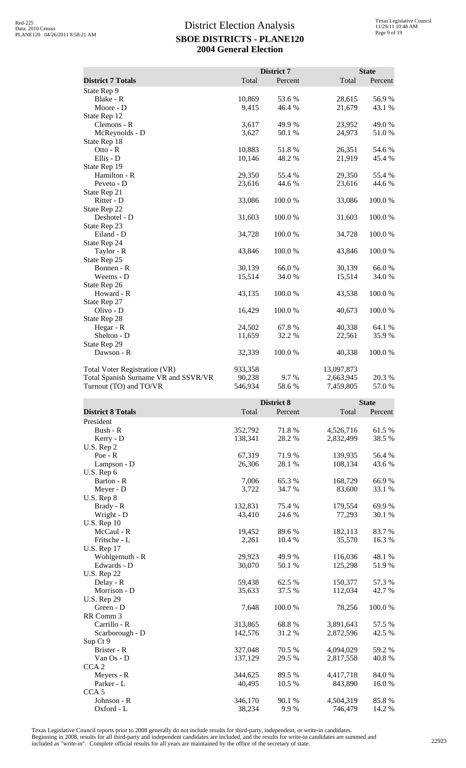|                                      |         | District 7 |            | <b>State</b> |
|--------------------------------------|---------|------------|------------|--------------|
| <b>District 7 Totals</b>             | Total   | Percent    | Total      | Percent      |
| State Rep 9                          |         |            |            |              |
| Blake - R                            | 10,869  | 53.6%      | 28,615     | 56.9%        |
| Moore - D                            | 9,415   | 46.4 %     | 21,679     | 43.1 %       |
| State Rep 12                         |         |            |            |              |
| Clemons - R                          | 3,617   | 49.9 %     | 23,952     | 49.0 %       |
| McReynolds - D                       | 3,627   | 50.1 %     | 24,973     | 51.0%        |
| State Rep 18                         |         |            |            |              |
| Otto - $R$                           | 10,883  | 51.8%      | 26,351     | 54.6 %       |
| Ellis - D                            | 10,146  | 48.2%      | 21,919     | 45.4 %       |
| State Rep 19                         |         |            |            |              |
| Hamilton - R                         | 29,350  | 55.4 %     | 29,350     | 55.4 %       |
| Peveto - D                           | 23,616  | 44.6 %     | 23,616     | 44.6 %       |
| State Rep 21                         |         |            |            |              |
| Ritter - D                           | 33,086  | 100.0%     | 33,086     | 100.0%       |
| State Rep 22                         |         |            |            |              |
| Deshotel - D                         | 31,603  | 100.0%     | 31,603     | 100.0%       |
| State Rep 23                         |         |            |            |              |
| Eiland - D                           | 34,728  | 100.0%     | 34,728     | 100.0%       |
| State Rep 24                         |         |            |            |              |
| Taylor - R                           | 43,846  | 100.0%     | 43,846     | 100.0%       |
| State Rep 25                         |         |            |            |              |
| Bonnen - R                           | 30,139  | 66.0%      | 30,139     | 66.0%        |
| Weems - D                            | 15,514  | 34.0%      | 15,514     | 34.0%        |
| State Rep 26                         |         |            |            |              |
| Howard - R                           | 43,135  | 100.0%     | 43,538     | 100.0%       |
| State Rep 27                         |         |            |            |              |
| Olivo - D                            | 16,429  | 100.0%     | 40,673     | 100.0%       |
| State Rep 28                         |         |            |            |              |
| Hegar - R                            | 24,502  | 67.8%      | 40,338     | 64.1 %       |
| Shelton - D                          | 11,659  | 32.2 %     | 22,561     | 35.9%        |
| State Rep 29                         |         |            |            |              |
| Dawson - R                           | 32,339  | 100.0%     | 40,338     | 100.0%       |
| Total Voter Registration (VR)        | 933,358 |            | 13,097,873 |              |
| Total Spanish Surname VR and SSVR/VR | 90,238  | 9.7%       | 2,663,945  | 20.3 %       |
| Turnout (TO) and TO/VR               | 546,934 | 58.6%      | 7,459,805  | 57.0%        |

|                          | District 8 |         | <b>State</b> |         |
|--------------------------|------------|---------|--------------|---------|
| <b>District 8 Totals</b> | Total      | Percent | Total        | Percent |
| President                |            |         |              |         |
| Bush - R                 | 352,792    | 71.8%   | 4,526,716    | 61.5%   |
| Kerry - D                | 138,341    | 28.2 %  | 2,832,499    | 38.5%   |
| U.S. Rep 2               |            |         |              |         |
| $Poe - R$                | 67,319     | 71.9%   | 139,935      | 56.4 %  |
| Lampson - D              | 26,306     | 28.1 %  | 108,134      | 43.6%   |
| U.S. Rep 6               |            |         |              |         |
| Barton - R               | 7,006      | 65.3%   | 168,729      | 66.9%   |
| Meyer - D                | 3,722      | 34.7 %  | 83,600       | 33.1 %  |
| $U.S.$ Rep $8$           |            |         |              |         |
| Brady - R                | 132,831    | 75.4 %  | 179,554      | 69.9%   |
| Wright - D               | 43,410     | 24.6 %  | 77,293       | 30.1 %  |
| <b>U.S. Rep 10</b>       |            |         |              |         |
| McCaul - R               | 19,452     | 89.6%   | 182,113      | 83.7%   |
| Fritsche - L             | 2,261      | 10.4 %  | 35,570       | 16.3%   |
| U.S. Rep 17              |            |         |              |         |
| Wohlgemuth - R           | 29,923     | 49.9 %  | 116,036      | 48.1 %  |
| Edwards - D              | 30,070     | 50.1 %  | 125,298      | 51.9%   |
| <b>U.S. Rep 22</b>       |            |         |              |         |
| Delay - R                | 59,438     | 62.5 %  | 150,377      | 57.3 %  |
| Morrison - D             | 35,633     | 37.5 %  | 112,034      | 42.7%   |
| <b>U.S. Rep 29</b>       |            |         |              |         |
| Green - D                | 7,648      | 100.0%  | 78,256       | 100.0%  |
| RR Comm 3                |            |         |              |         |
| Carrillo - R             | 313,865    | 68.8%   | 3,891,643    | 57.5 %  |
| Scarborough - D          | 142,576    | 31.2%   | 2,872,596    | 42.5 %  |
| Sup Ct 9                 |            |         |              |         |
| Brister - R              | 327,048    | 70.5 %  | 4,094,029    | 59.2%   |
| Van Os - D               | 137,129    | 29.5 %  | 2,817,558    | 40.8%   |
| CCA <sub>2</sub>         |            |         |              |         |
| Meyers - R               | 344,625    | 89.5 %  | 4,417,718    | 84.0%   |
| Parker - L               | 40,495     | 10.5 %  | 843,890      | 16.0%   |
| CCA <sub>5</sub>         |            |         |              |         |
| Johnson - R              | 346,170    | 90.1 %  | 4,504,319    | 85.8%   |
| Oxford - L               | 38,234     | 9.9%    | 746,479      | 14.2 %  |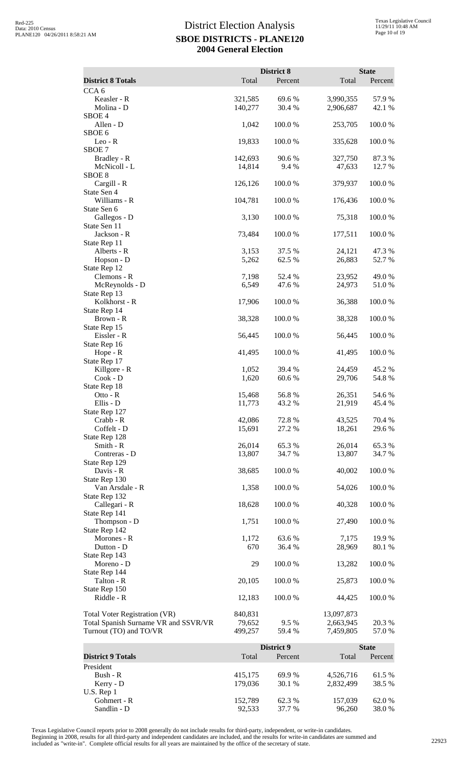|                                                                |                    | District 8       |                        | <b>State</b>     |
|----------------------------------------------------------------|--------------------|------------------|------------------------|------------------|
| <b>District 8 Totals</b>                                       | Total              | Percent          | Total                  | Percent          |
| CCA <sub>6</sub>                                               |                    |                  |                        |                  |
| Keasler - R<br>Molina - D                                      | 321,585<br>140,277 | 69.6 %<br>30.4 % | 3,990,355<br>2,906,687 | 57.9%<br>42.1 %  |
| SBOE <sub>4</sub><br>Allen - D<br>SBOE <sub>6</sub>            | 1,042              | 100.0%           | 253,705                | 100.0%           |
| $Leo - R$<br>SBOE 7                                            | 19,833             | 100.0%           | 335,628                | 100.0%           |
| Bradley - R<br>McNicoll - L                                    | 142,693<br>14,814  | 90.6%<br>9.4 %   | 327,750<br>47,633      | 87.3%<br>12.7 %  |
| SBOE <sub>8</sub><br>Cargill - R                               | 126,126            | 100.0%           | 379,937                | 100.0%           |
| State Sen 4<br>Williams - R                                    | 104,781            | 100.0%           | 176,436                | 100.0%           |
| State Sen 6<br>Gallegos - D                                    | 3,130              | 100.0%           | 75,318                 | 100.0%           |
| State Sen 11<br>Jackson - R<br>State Rep 11                    | 73,484             | 100.0%           | 177,511                | 100.0%           |
| Alberts - R                                                    | 3,153              | 37.5 %           | 24,121                 | 47.3 %           |
| Hopson - D<br>State Rep 12                                     | 5,262              | 62.5 %           | 26,883                 | 52.7 %           |
| Clemons - R                                                    | 7,198              | 52.4 %           | 23,952                 | 49.0%            |
| McReynolds - D<br>State Rep 13                                 | 6,549              | 47.6%            | 24,973                 | 51.0%            |
| Kolkhorst - R<br>State Rep 14                                  | 17,906             | 100.0%           | 36,388                 | 100.0%           |
| Brown - R<br>State Rep 15                                      | 38,328             | 100.0%           | 38,328                 | 100.0%           |
| Eissler - R<br>State Rep 16<br>Hope - R                        | 56,445<br>41,495   | 100.0%<br>100.0% | 56,445<br>41,495       | 100.0%<br>100.0% |
| State Rep 17<br>Killgore - R                                   | 1,052              | 39.4 %           | 24,459                 | 45.2%            |
| $Cook - D$<br>State Rep 18                                     | 1,620              | 60.6 %           | 29,706                 | 54.8%            |
| $Ot$ to - $R$<br>Ellis - D<br>State Rep 127                    | 15,468<br>11,773   | 56.8%<br>43.2 %  | 26,351<br>21,919       | 54.6 %<br>45.4 % |
| Crabb - R<br>Coffelt - D                                       | 42,086<br>15,691   | 72.8%<br>27.2 %  | 43,525<br>18,261       | 70.4 %<br>29.6%  |
| State Rep 128                                                  |                    |                  |                        |                  |
| Smith - R<br>Contreras - D<br>State Rep 129                    | 26,014<br>13,807   | 65.3%<br>34.7%   | 26,014<br>13,807       | 65.3%<br>34.7 %  |
| Davis - R<br>State Rep 130                                     | 38,685             | 100.0%           | 40,002                 | 100.0%           |
| Van Arsdale - R<br>State Rep 132                               | 1,358              | 100.0%           | 54,026                 | 100.0%           |
| Callegari - R<br>State Rep 141                                 | 18,628             | 100.0%           | 40,328                 | 100.0%           |
| Thompson - D<br>State Rep 142                                  | 1,751              | 100.0%           | 27,490                 | 100.0%           |
| Morones - R                                                    | 1,172              | 63.6%            | 7,175                  | 19.9%            |
| Dutton - D<br>State Rep 143                                    | 670                | 36.4 %           | 28,969                 | 80.1 %           |
| Moreno - D<br>State Rep 144                                    | 29                 | 100.0%           | 13,282                 | 100.0%           |
| Talton - R<br>State Rep 150                                    | 20,105             | 100.0%           | 25,873                 | 100.0%           |
| Riddle - R                                                     | 12,183             | 100.0%           | 44,425                 | 100.0%           |
| Total Voter Registration (VR)                                  | 840,831            |                  | 13,097,873             |                  |
| Total Spanish Surname VR and SSVR/VR<br>Turnout (TO) and TO/VR | 79,652<br>499,257  | 9.5 %<br>59.4 %  | 2,663,945<br>7,459,805 | 20.3 %<br>57.0%  |
|                                                                |                    | District 9       |                        | <b>State</b>     |
| <b>District 9 Totals</b>                                       | Total              | Percent          | Total                  | Percent          |
| President                                                      |                    |                  |                        |                  |
| Bush - R<br>Kerry - D                                          | 415,175<br>179,036 | 69.9%<br>30.1 %  | 4,526,716<br>2,832,499 | 61.5%<br>38.5 %  |
| U.S. Rep 1<br>Gohmert - R                                      | 152,789            | 62.3%            | 157,039                | 62.0%            |
| Sandlin - D                                                    | 92,533             | 37.7 %           | 96,260                 | 38.0%            |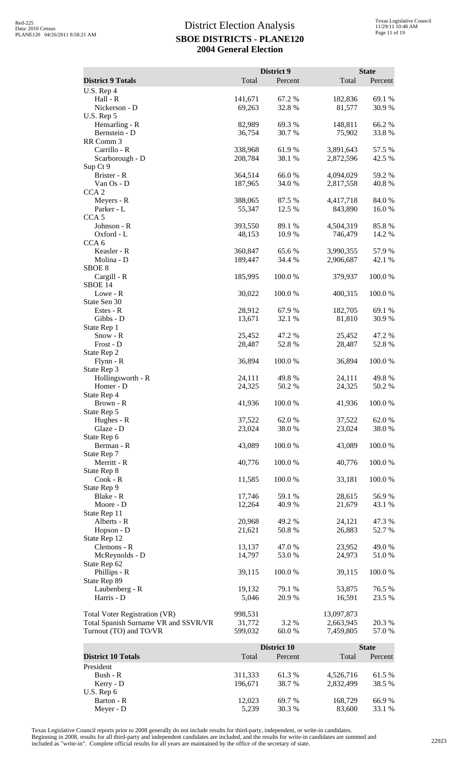|                                                                       |                   | District 9         |                        | <b>State</b>    |
|-----------------------------------------------------------------------|-------------------|--------------------|------------------------|-----------------|
| <b>District 9 Totals</b>                                              | Total             | Percent            | Total                  | Percent         |
| U.S. Rep 4<br>Hall - R                                                | 141,671           | 67.2 %             | 182,836                | 69.1 %          |
| Nickerson - D                                                         | 69,263            | 32.8%              | 81,577                 | 30.9%           |
| U.S. Rep 5                                                            |                   |                    |                        |                 |
| Hensarling - R<br>Bernstein - D                                       | 82,989<br>36,754  | 69.3 %<br>30.7%    | 148,811<br>75,902      | 66.2%<br>33.8%  |
| RR Comm 3                                                             |                   |                    |                        |                 |
| Carrillo - R                                                          | 338,968           | 61.9%              | 3,891,643              | 57.5 %          |
| Scarborough - D                                                       | 208,784           | 38.1 %             | 2,872,596              | 42.5 %          |
| Sup Ct 9<br>Brister - R                                               | 364,514           | 66.0%              | 4,094,029              | 59.2 %          |
| Van Os - D                                                            | 187,965           | 34.0%              | 2,817,558              | 40.8%           |
| CCA <sub>2</sub>                                                      |                   |                    |                        |                 |
| Meyers - R<br>Parker - L                                              | 388,065           | 87.5 %             | 4,417,718              | 84.0 %          |
| CCA <sub>5</sub>                                                      | 55,347            | 12.5 %             | 843,890                | 16.0%           |
| Johnson - R                                                           | 393,550           | 89.1 %             | 4,504,319              | 85.8%           |
| Oxford - L                                                            | 48,153            | 10.9%              | 746,479                | 14.2 %          |
| CCA <sub>6</sub><br>Keasler - R                                       | 360,847           | 65.6 %             | 3,990,355              | 57.9 %          |
| Molina - D                                                            | 189,447           | 34.4 %             | 2,906,687              | 42.1 %          |
| SBOE <sub>8</sub>                                                     |                   |                    |                        |                 |
| Cargill - R                                                           | 185,995           | 100.0%             | 379,937                | 100.0%          |
| SBOE 14<br>Lowe - R                                                   | 30,022            | 100.0 %            | 400,315                | 100.0%          |
| State Sen 30                                                          |                   |                    |                        |                 |
| Estes - R                                                             | 28,912            | 67.9 %             | 182,705                | 69.1 %          |
| Gibbs - D                                                             | 13,671            | 32.1 %             | 81,810                 | 30.9%           |
| State Rep 1<br>Snow - R                                               | 25,452            | 47.2 %             | 25,452                 | 47.2 %          |
| Frost - D                                                             | 28,487            | 52.8%              | 28,487                 | 52.8%           |
| State Rep 2                                                           |                   |                    |                        |                 |
| $Flynn - R$<br>State Rep 3                                            | 36,894            | 100.0%             | 36,894                 | 100.0%          |
| Hollingsworth - R                                                     | 24,111            | 49.8%              | 24,111                 | 49.8%           |
| Homer - D                                                             | 24,325            | 50.2%              | 24,325                 | 50.2%           |
| State Rep 4<br>Brown - R                                              |                   |                    |                        |                 |
| State Rep 5                                                           | 41,936            | 100.0%             | 41,936                 | 100.0%          |
| Hughes - R                                                            | 37,522            | 62.0 %             | 37,522                 | 62.0%           |
| Glaze - D                                                             | 23,024            | 38.0%              | 23,024                 | 38.0%           |
| State Rep 6<br>Berman - R                                             | 43,089            | 100.0%             | 43,089                 | 100.0%          |
| State Rep 7                                                           |                   |                    |                        |                 |
| Merritt - R                                                           | 40,776            | 100.0%             | 40,776                 | 100.0%          |
| State Rep 8<br>Cook - R                                               | 11,585            | 100.0%             | 33,181                 | 100.0%          |
| State Rep 9                                                           |                   |                    |                        |                 |
| Blake - R                                                             | 17,746            | 59.1 %             | 28,615                 | 56.9%           |
| Moore - D<br>State Rep 11                                             | 12,264            | 40.9 %             | 21,679                 | 43.1 %          |
| Alberts - R                                                           | 20,968            | 49.2 %             | 24,121                 | 47.3 %          |
| Hopson - D                                                            | 21,621            | 50.8 %             | 26,883                 | 52.7 %          |
| State Rep 12                                                          |                   |                    |                        |                 |
| Clemons - R<br>McReynolds - D                                         | 13,137<br>14,797  | 47.0%<br>53.0%     | 23,952<br>24,973       | 49.0%<br>51.0%  |
| State Rep 62                                                          |                   |                    |                        |                 |
| Phillips - R                                                          | 39,115            | 100.0%             | 39,115                 | 100.0%          |
| State Rep 89<br>Laubenberg - R                                        | 19,132            | 79.1 %             | 53,875                 | 76.5 %          |
| Harris - D                                                            | 5,046             | 20.9 %             | 16,591                 | 23.5 %          |
|                                                                       |                   |                    |                        |                 |
| Total Voter Registration (VR)<br>Total Spanish Surname VR and SSVR/VR | 998,531           | 3.2 %              | 13,097,873             | 20.3 %          |
| Turnout (TO) and TO/VR                                                | 31,772<br>599,032 | 60.0%              | 2,663,945<br>7,459,805 | 57.0%           |
|                                                                       |                   |                    |                        |                 |
|                                                                       |                   | <b>District 10</b> |                        | <b>State</b>    |
| <b>District 10 Totals</b><br>President                                | Total             | Percent            | Total                  | Percent         |
| Bush - R                                                              | 311,333           | 61.3%              | 4,526,716              | 61.5%           |
| Kerry - D                                                             | 196,671           | 38.7%              | 2,832,499              | 38.5 %          |
| U.S. Rep 6                                                            |                   |                    |                        |                 |
| Barton - R<br>Meyer - D                                               | 12,023<br>5,239   | 69.7%<br>30.3 %    | 168,729<br>83,600      | 66.9%<br>33.1 % |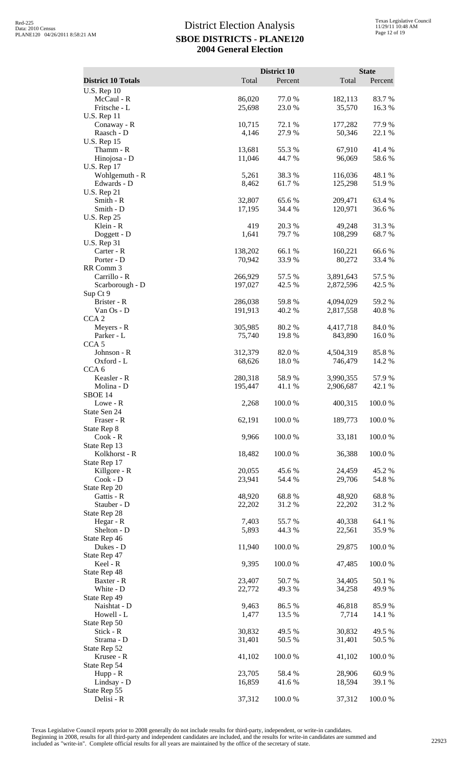| <b>District 10 Totals</b>                           | Total              | District 10<br>Percent | Total                  | <b>State</b><br>Percent |
|-----------------------------------------------------|--------------------|------------------------|------------------------|-------------------------|
| <b>U.S. Rep 10</b>                                  |                    |                        |                        |                         |
| McCaul - R<br>Fritsche - L                          | 86,020<br>25,698   | 77.0%<br>23.0 %        | 182,113<br>35,570      | 83.7%<br>16.3%          |
| <b>U.S. Rep 11</b><br>Conaway - R<br>Raasch - D     | 10,715<br>4,146    | 72.1 %<br>27.9 %       | 177,282<br>50,346      | 77.9%<br>22.1 %         |
| <b>U.S. Rep 15</b><br>Thamm - R<br>Hinojosa - D     | 13,681<br>11,046   | 55.3%<br>44.7%         | 67,910<br>96,069       | 41.4%<br>58.6%          |
| <b>U.S. Rep 17</b><br>Wohlgemuth - R<br>Edwards - D | 5,261<br>8,462     | 38.3%<br>61.7 %        | 116,036<br>125,298     | 48.1 %<br>51.9%         |
| <b>U.S. Rep 21</b><br>Smith - R<br>Smith - D        | 32,807<br>17,195   | 65.6%<br>34.4 %        | 209,471<br>120,971     | 63.4 %<br>36.6 %        |
| <b>U.S. Rep 25</b><br>Klein - R<br>Doggett - D      | 419<br>1,641       | 20.3 %<br>79.7%        | 49,248<br>108,299      | 31.3%<br>68.7%          |
| <b>U.S. Rep 31</b><br>Carter - R                    | 138,202            | 66.1 %                 | 160,221                | 66.6%                   |
| Porter - D<br>RR Comm 3<br>Carrillo - R             | 70,942<br>266,929  | 33.9%<br>57.5 %        | 80,272<br>3,891,643    | 33.4 %<br>57.5 %        |
| Scarborough - D<br>Sup Ct 9<br>Brister - R          | 197,027<br>286,038 | 42.5 %<br>59.8%        | 2,872,596<br>4,094,029 | 42.5 %<br>59.2 %        |
| $Van Os - D$<br>CCA <sub>2</sub><br>Meyers - R      | 191,913<br>305,985 | 40.2%<br>80.2 %        | 2,817,558<br>4,417,718 | 40.8%<br>84.0%          |
| Parker - L<br>CCA <sub>5</sub>                      | 75,740             | 19.8%                  | 843,890                | 16.0%                   |
| Johnson - R<br>Oxford - L<br>CCA <sub>6</sub>       | 312,379<br>68,626  | 82.0 %<br>18.0%        | 4,504,319<br>746,479   | 85.8%<br>14.2 %         |
| Keasler - R<br>Molina - D<br>SBOE <sub>14</sub>     | 280,318<br>195,447 | 58.9%<br>41.1 %        | 3,990,355<br>2,906,687 | 57.9%<br>42.1 %         |
| Lowe - R<br>State Sen 24                            | 2,268              | 100.0%                 | 400,315                | 100.0%                  |
| Fraser - R<br>State Rep 8<br>Cook - R               | 62,191<br>9,966    | 100.0%<br>100.0%       | 189,773<br>33,181      | 100.0%<br>100.0%        |
| State Rep 13<br>Kolkhorst - R<br>State Rep 17       | 18,482             | 100.0%                 | 36,388                 | 100.0%                  |
| Killgore - R<br>$Cook - D$<br>State Rep 20          | 20,055<br>23,941   | 45.6%<br>54.4 %        | 24,459<br>29,706       | 45.2 %<br>54.8%         |
| Gattis - R<br>Stauber - D                           | 48,920<br>22,202   | 68.8%<br>31.2%         | 48,920<br>22,202       | 68.8%<br>31.2%          |
| State Rep 28<br>Hegar - R<br>Shelton - D            | 7,403<br>5,893     | 55.7%<br>44.3 %        | 40,338<br>22,561       | 64.1 %<br>35.9%         |
| State Rep 46<br>Dukes - D<br>State Rep 47           | 11,940             | 100.0%                 | 29,875                 | 100.0%                  |
| Keel - R<br>State Rep 48<br>Baxter - R              | 9,395<br>23,407    | 100.0%<br>50.7%        | 47,485<br>34,405       | 100.0%<br>50.1 %        |
| White - D<br>State Rep 49                           | 22,772             | 49.3%                  | 34,258                 | 49.9 %                  |
| Naishtat - D<br>Howell - L<br>State Rep 50          | 9,463<br>1,477     | 86.5 %<br>13.5 %       | 46,818<br>7,714        | 85.9%<br>14.1 %         |
| Stick - R<br>Strama - D<br>State Rep 52             | 30,832<br>31,401   | 49.5 %<br>50.5 %       | 30,832<br>31,401       | 49.5 %<br>50.5 %        |
| Krusee - R<br>State Rep 54                          | 41,102             | 100.0%                 | 41,102                 | 100.0%                  |
| Hupp - R<br>Lindsay - D<br>State Rep 55             | 23,705<br>16,859   | 58.4 %<br>41.6%        | 28,906<br>18,594       | 60.9%<br>39.1 %         |
| Delisi - R                                          | 37,312             | 100.0%                 | 37,312                 | 100.0%                  |

Texas Legislative Council reports prior to 2008 generally do not include results for third-party, independent, or write-in candidates.

Beginning in 2008, results for all third-party and independent candidates are included, and the results for write-in candidates are summed and<br>included as "write-in". Complete official results for all years are maintained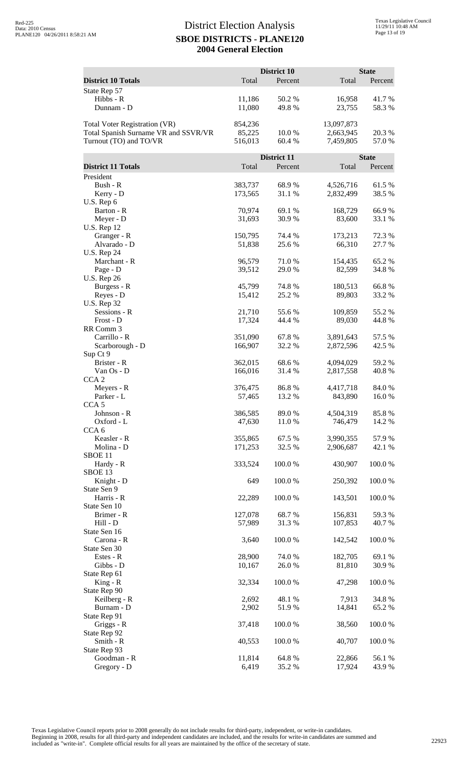|                                                                |                    | District 10            |                        | <b>State</b>            |
|----------------------------------------------------------------|--------------------|------------------------|------------------------|-------------------------|
| <b>District 10 Totals</b>                                      | Total              | Percent                | Total                  | Percent                 |
| State Rep 57<br>Hibbs - R                                      | 11,186             | 50.2%                  | 16,958                 | 41.7%                   |
| Dunnam - D                                                     | 11,080             | 49.8%                  | 23,755                 | 58.3%                   |
| <b>Total Voter Registration (VR)</b>                           | 854,236            |                        | 13,097,873             |                         |
| Total Spanish Surname VR and SSVR/VR<br>Turnout (TO) and TO/VR | 85,225<br>516,013  | 10.0 %<br>60.4%        | 2,663,945<br>7,459,805 | 20.3 %<br>57.0 %        |
|                                                                |                    |                        |                        |                         |
| <b>District 11 Totals</b>                                      | Total              | District 11<br>Percent | Total                  | <b>State</b><br>Percent |
| President                                                      |                    |                        |                        |                         |
| Bush - R                                                       | 383,737            | 68.9%                  | 4,526,716              | 61.5%                   |
| Kerry - D<br>U.S. Rep 6                                        | 173,565            | 31.1 %                 | 2,832,499              | 38.5 %                  |
| Barton - R                                                     | 70,974             | 69.1 %                 | 168,729                | 66.9%                   |
| Meyer - D<br><b>U.S. Rep 12</b>                                | 31,693             | 30.9%                  | 83,600                 | 33.1 %                  |
| Granger - R                                                    | 150,795            | 74.4 %                 | 173,213                | 72.3 %                  |
| Alvarado - D<br><b>U.S. Rep 24</b>                             | 51,838             | 25.6 %                 | 66,310                 | 27.7 %                  |
| Marchant - R                                                   | 96,579             | 71.0%                  | 154,435                | 65.2%                   |
| Page - D                                                       | 39,512             | 29.0 %                 | 82,599                 | 34.8%                   |
| <b>U.S. Rep 26</b><br>Burgess - R                              | 45,799             | 74.8%                  | 180,513                | 66.8%                   |
| Reyes - D                                                      | 15,412             | 25.2 %                 | 89,803                 | 33.2 %                  |
| <b>U.S. Rep 32</b><br>Sessions - R                             | 21,710             | 55.6 %                 | 109,859                | 55.2 %                  |
| Frost - D                                                      | 17,324             | 44.4 %                 | 89,030                 | 44.8%                   |
| RR Comm 3<br>Carrillo - R                                      |                    | 67.8%                  |                        | 57.5 %                  |
| Scarborough - D                                                | 351,090<br>166,907 | 32.2 %                 | 3,891,643<br>2,872,596 | 42.5 %                  |
| Sup Ct 9                                                       |                    |                        |                        |                         |
| Brister - R<br>Van Os - D                                      | 362,015<br>166,016 | 68.6%<br>31.4 %        | 4,094,029<br>2,817,558 | 59.2 %<br>40.8%         |
| CCA <sub>2</sub>                                               |                    |                        |                        |                         |
| Meyers - R<br>Parker - L                                       | 376,475<br>57,465  | 86.8%<br>13.2 %        | 4,417,718<br>843,890   | 84.0 %<br>16.0%         |
| CCA <sub>5</sub>                                               |                    |                        |                        |                         |
| Johnson - R                                                    | 386,585<br>47,630  | 89.0 %<br>11.0%        | 4,504,319              | 85.8%                   |
| Oxford - L<br>CCA <sub>6</sub>                                 |                    |                        | 746,479                | 14.2 %                  |
| Keasler - R                                                    | 355,865            | 67.5 %                 | 3,990,355              | 57.9%                   |
| Molina - D<br>SBOE <sub>11</sub>                               | 171,253            | 32.5 %                 | 2,906,687              | 42.1 %                  |
| Hardy - R                                                      | 333,524            | 100.0%                 | 430,907                | 100.0%                  |
| SBOE <sub>13</sub><br>Knight - D                               | 649                | 100.0%                 | 250,392                | 100.0%                  |
| State Sen 9                                                    |                    |                        |                        |                         |
| Harris - R<br>State Sen 10                                     | 22,289             | 100.0%                 | 143,501                | 100.0%                  |
| Brimer - R                                                     | 127,078            | 68.7%                  | 156,831                | 59.3%                   |
| Hill - D                                                       | 57,989             | 31.3%                  | 107,853                | 40.7 %                  |
| State Sen 16<br>Carona - R                                     | 3,640              | 100.0%                 | 142,542                | 100.0%                  |
| State Sen 30                                                   |                    |                        |                        |                         |
| Estes - R<br>Gibbs - D                                         | 28,900<br>10,167   | 74.0%<br>26.0 %        | 182,705<br>81,810      | 69.1 %<br>30.9 %        |
| State Rep 61                                                   |                    |                        |                        |                         |
| $King - R$<br>State Rep 90                                     | 32,334             | 100.0 %                | 47,298                 | 100.0%                  |
| Keilberg - R                                                   | 2,692              | 48.1 %                 | 7,913                  | 34.8%                   |
| Burnam - D                                                     | 2,902              | 51.9%                  | 14,841                 | 65.2%                   |
| State Rep 91<br>Griggs - R                                     | 37,418             | 100.0%                 | 38,560                 | 100.0%                  |
| State Rep 92                                                   |                    |                        |                        |                         |
| Smith - R<br>State Rep 93                                      | 40,553             | 100.0%                 | 40,707                 | 100.0%                  |
| Goodman - R                                                    | 11,814             | 64.8%                  | 22,866                 | 56.1 %                  |
| Gregory - D                                                    | 6,419              | 35.2 %                 | 17,924                 | 43.9%                   |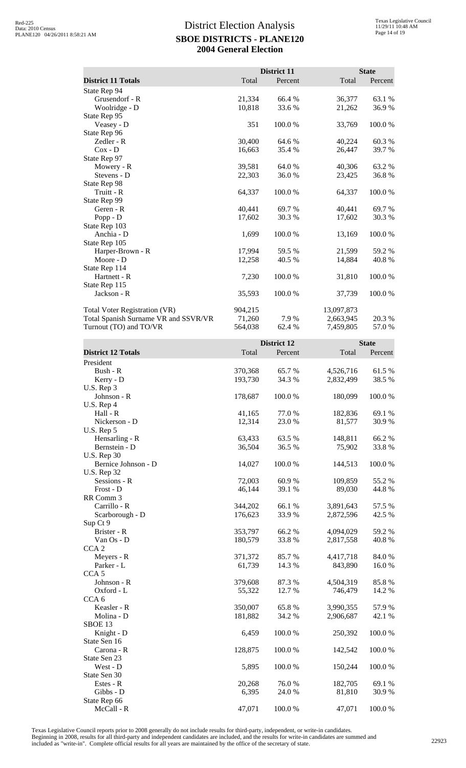|                                                                                                        |                              | District 11        |                                      | <b>State</b>     |
|--------------------------------------------------------------------------------------------------------|------------------------------|--------------------|--------------------------------------|------------------|
| <b>District 11 Totals</b>                                                                              | Total                        | Percent            | Total                                | Percent          |
| State Rep 94<br>Grusendorf - R<br>Woolridge - D                                                        | 21,334<br>10,818             | 66.4 %<br>33.6 %   | 36,377<br>21,262                     | 63.1 %<br>36.9%  |
| State Rep 95<br>Veasey - D                                                                             | 351                          | 100.0%             | 33,769                               | $100.0~\%$       |
| State Rep 96<br>Zedler - R                                                                             | 30,400                       | 64.6 %             | 40,224                               | 60.3%            |
| $Cox - D$<br>State Rep 97<br>Mowery - R                                                                | 16,663<br>39,581             | 35.4 %<br>64.0%    | 26,447<br>40,306                     | 39.7%<br>63.2 %  |
| Stevens - D<br>State Rep 98                                                                            | 22,303                       | 36.0%              | 23,425                               | 36.8%            |
| Truitt - R<br>State Rep 99                                                                             | 64,337                       | 100.0%             | 64,337                               | 100.0%           |
| Geren - R<br>Popp - D                                                                                  | 40,441<br>17,602             | 69.7%<br>30.3%     | 40,441<br>17,602                     | 69.7%<br>30.3%   |
| State Rep 103<br>Anchia - D                                                                            | 1,699                        | 100.0%             | 13,169                               | 100.0%           |
| State Rep 105<br>Harper-Brown - R<br>Moore - D                                                         | 17,994<br>12,258             | 59.5 %<br>40.5 %   | 21,599<br>14,884                     | 59.2 %<br>40.8%  |
| State Rep 114<br>Hartnett - R                                                                          | 7,230                        | 100.0%             | 31,810                               | 100.0%           |
| State Rep 115<br>Jackson - R                                                                           | 35,593                       | 100.0%             | 37,739                               | 100.0%           |
| <b>Total Voter Registration (VR)</b><br>Total Spanish Surname VR and SSVR/VR<br>Turnout (TO) and TO/VR | 904,215<br>71,260<br>564,038 | 7.9 %<br>62.4 %    | 13,097,873<br>2,663,945<br>7,459,805 | 20.3 %<br>57.0%  |
|                                                                                                        |                              | <b>District 12</b> |                                      | <b>State</b>     |
| <b>District 12 Totals</b>                                                                              | Total                        | Percent            | Total                                | Percent          |
| President<br>Bush - R<br>Kerry - D                                                                     | 370,368<br>193,730           | 65.7%<br>34.3 %    | 4,526,716<br>2,832,499               | 61.5%<br>38.5 %  |
| U.S. Rep 3<br>Johnson - R                                                                              | 178,687                      | 100.0%             | 180,099                              | 100.0%           |
| U.S. Rep 4<br>Hall - R                                                                                 | 41,165                       | 77.0%              | 182,836                              | 69.1 %           |
| Nickerson - D<br>$U.S.$ Rep 5<br>Hensarling - R                                                        | 12,314<br>63,433             | 23.0%<br>63.5 %    | 81,577<br>148,811                    | 30.9%<br>66.2%   |
| Bernstein - D<br><b>U.S. Rep 30</b>                                                                    | 36,504                       | 36.5 %             | 75,902                               | 33.8%            |
| Bernice Johnson - D<br><b>U.S. Rep 32</b>                                                              | 14,027                       | 100.0%             | 144,513                              | 100.0%           |
| Sessions - R<br>Frost - D                                                                              | 72,003<br>46,144             | 60.9%<br>39.1 %    | 109,859<br>89,030                    | 55.2 %<br>44.8%  |
| RR Comm 3<br>Carrillo - R<br>Scarborough - D                                                           | 344,202<br>176,623           | 66.1 %<br>33.9%    | 3,891,643<br>2,872,596               | 57.5 %<br>42.5 % |
| Sup Ct 9<br>Brister - R<br>Van Os - D                                                                  | 353,797<br>180,579           | 66.2%<br>33.8%     | 4,094,029<br>2,817,558               | 59.2 %<br>40.8%  |
| CCA <sub>2</sub><br>Meyers - R                                                                         | 371,372                      | 85.7%              | 4,417,718                            | 84.0%            |
| Parker - L<br>CCA <sub>5</sub>                                                                         | 61,739                       | 14.3 %             | 843,890                              | 16.0%            |
| Johnson - R<br>Oxford - L                                                                              | 379,608<br>55,322            | 87.3%<br>12.7 %    | 4,504,319<br>746,479                 | 85.8%<br>14.2 %  |
| CCA <sub>6</sub><br>Keasler - R<br>Molina - D                                                          | 350,007<br>181,882           | 65.8%<br>34.2 %    | 3,990,355<br>2,906,687               | 57.9%<br>42.1 %  |
| SBOE <sub>13</sub><br>Knight - D                                                                       | 6,459                        | 100.0%             | 250,392                              | $100.0~\%$       |
| State Sen 16<br>Carona - R<br>State Sen 23                                                             | 128,875                      | 100.0%             | 142,542                              | 100.0%           |
| West - D<br>State Sen 30                                                                               | 5,895                        | 100.0%             | 150,244                              | 100.0%           |
| Estes - R<br>Gibbs - D                                                                                 | 20,268<br>6,395              | 76.0%<br>24.0 %    | 182,705<br>81,810                    | 69.1 %<br>30.9%  |
| State Rep 66<br>McCall - R                                                                             | 47,071                       | 100.0%             | 47,071                               | 100.0%           |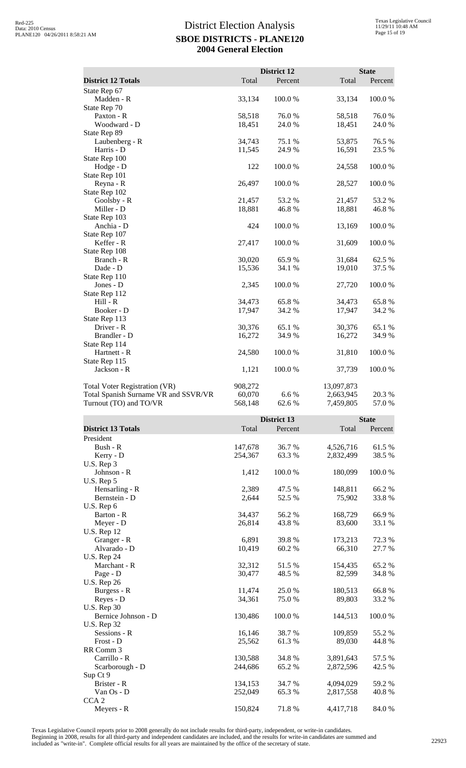|                                      |         | District 12 |            | <b>State</b> |  |
|--------------------------------------|---------|-------------|------------|--------------|--|
| <b>District 12 Totals</b>            | Total   | Percent     | Total      | Percent      |  |
| State Rep 67                         |         |             |            |              |  |
| Madden - R                           | 33,134  | 100.0%      | 33,134     | 100.0%       |  |
| State Rep 70                         |         |             |            |              |  |
| Paxton - R                           | 58,518  | 76.0%       | 58,518     | 76.0%        |  |
| Woodward - D                         | 18,451  | 24.0%       | 18,451     | 24.0 %       |  |
| State Rep 89                         |         |             |            |              |  |
| Laubenberg - R                       | 34,743  | 75.1 %      | 53,875     | 76.5%        |  |
| Harris - D                           | 11,545  | 24.9%       | 16,591     | 23.5 %       |  |
| State Rep 100                        |         |             |            |              |  |
| Hodge - D                            | 122     | 100.0%      | 24,558     | 100.0%       |  |
| State Rep 101                        |         |             |            |              |  |
| Reyna - R                            | 26,497  | 100.0%      | 28,527     | 100.0%       |  |
| State Rep 102                        |         |             |            |              |  |
| Goolsby - R                          | 21,457  | 53.2 %      | 21,457     | 53.2 %       |  |
| Miller - D                           | 18,881  | 46.8%       | 18,881     | 46.8%        |  |
| State Rep 103                        |         |             |            |              |  |
| Anchia - D                           | 424     | 100.0%      | 13,169     | 100.0%       |  |
| State Rep 107                        |         |             |            |              |  |
| Keffer - R                           | 27,417  | 100.0%      | 31,609     | 100.0%       |  |
| State Rep 108                        |         |             |            |              |  |
| Branch - R                           | 30,020  | 65.9%       | 31,684     | 62.5 %       |  |
| Dade - D                             | 15,536  | 34.1 %      | 19,010     | 37.5 %       |  |
| State Rep 110                        |         |             |            |              |  |
| Jones - D                            | 2,345   | 100.0%      | 27,720     | 100.0%       |  |
| State Rep 112                        |         |             |            |              |  |
| $Hill - R$                           | 34,473  | 65.8%       | 34,473     | 65.8%        |  |
| Booker - D                           | 17,947  | 34.2 %      | 17,947     | 34.2 %       |  |
| State Rep 113                        |         |             |            |              |  |
| Driver - R                           | 30,376  | 65.1 %      | 30,376     | 65.1 %       |  |
| Brandler - D                         | 16,272  | 34.9%       | 16,272     | 34.9%        |  |
| State Rep 114                        |         |             |            |              |  |
| Hartnett - R                         | 24,580  | 100.0%      | 31,810     | 100.0%       |  |
| State Rep 115                        |         |             |            |              |  |
| Jackson - R                          | 1,121   | 100.0%      | 37,739     | 100.0%       |  |
| Total Voter Registration (VR)        | 908,272 |             | 13,097,873 |              |  |
| Total Spanish Surname VR and SSVR/VR | 60,070  | 6.6 %       | 2,663,945  | 20.3 %       |  |
| Turnout (TO) and TO/VR               | 568,148 | 62.6 %      | 7,459,805  | 57.0 %       |  |

|                           |         | District 13 |           | <b>State</b> |  |
|---------------------------|---------|-------------|-----------|--------------|--|
| <b>District 13 Totals</b> | Total   | Percent     | Total     | Percent      |  |
| President                 |         |             |           |              |  |
| Bush - R                  | 147,678 | 36.7 %      | 4,526,716 | 61.5%        |  |
| Kerry - D                 | 254,367 | 63.3%       | 2,832,499 | 38.5 %       |  |
| U.S. Rep 3                |         |             |           |              |  |
| Johnson - R               | 1,412   | 100.0%      | 180,099   | 100.0%       |  |
| U.S. Rep 5                |         |             |           |              |  |
| Hensarling - R            | 2,389   | 47.5 %      | 148,811   | 66.2 %       |  |
| Bernstein - D             | 2,644   | 52.5 %      | 75,902    | 33.8%        |  |
| U.S. Rep 6                |         |             |           |              |  |
| Barton - R                | 34,437  | 56.2%       | 168,729   | 66.9%        |  |
| Meyer - D                 | 26,814  | 43.8%       | 83,600    | 33.1 %       |  |
| <b>U.S. Rep 12</b>        |         |             |           |              |  |
| Granger - R               | 6,891   | 39.8%       | 173,213   | 72.3 %       |  |
| Alvarado - D              | 10,419  | 60.2 %      | 66,310    | 27.7 %       |  |
| <b>U.S. Rep 24</b>        |         |             |           |              |  |
| Marchant - R              | 32,312  | 51.5 %      | 154,435   | 65.2%        |  |
| Page - D                  | 30,477  | 48.5 %      | 82,599    | 34.8%        |  |
| <b>U.S. Rep 26</b>        |         |             |           |              |  |
| Burgess - R               | 11,474  | 25.0 %      | 180,513   | 66.8%        |  |
| Reyes - D                 | 34,361  | 75.0 %      | 89,803    | 33.2 %       |  |
| <b>U.S. Rep 30</b>        |         |             |           |              |  |
| Bernice Johnson - D       | 130,486 | 100.0%      | 144,513   | 100.0%       |  |
| <b>U.S. Rep 32</b>        |         |             |           |              |  |
| Sessions - R              | 16,146  | 38.7 %      | 109,859   | 55.2 %       |  |
| Frost - D                 | 25,562  | 61.3%       | 89,030    | 44.8%        |  |
| RR Comm 3                 |         |             |           |              |  |
| Carrillo - R              | 130,588 | 34.8%       | 3,891,643 | 57.5 %       |  |
| Scarborough - D           | 244,686 | 65.2%       | 2,872,596 | 42.5 %       |  |
| Sup Ct 9                  |         |             |           |              |  |
| Brister - R               | 134,153 | 34.7 %      | 4,094,029 | 59.2 %       |  |
| $Van Os - D$              | 252,049 | 65.3 %      | 2,817,558 | 40.8%        |  |
| CCA <sub>2</sub>          |         |             |           |              |  |
| Meyers - R                | 150,824 | 71.8%       | 4,417,718 | 84.0%        |  |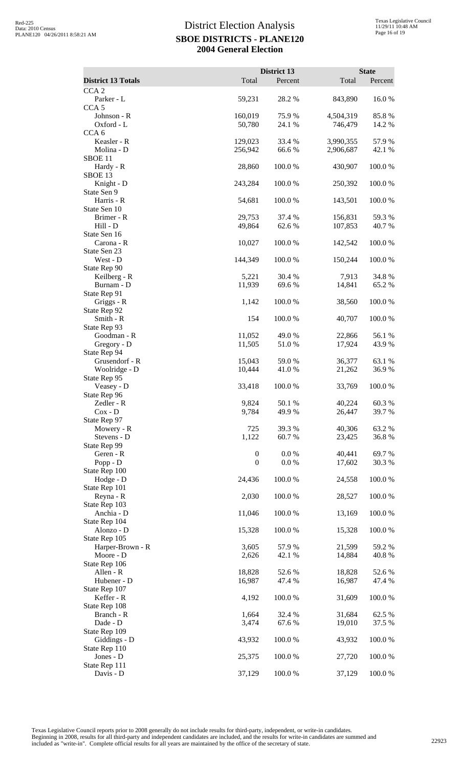|                                      | District 13      |                                     | <b>State</b>    |
|--------------------------------------|------------------|-------------------------------------|-----------------|
| <b>District 13 Totals</b>            | Total            | Percent<br>Total                    | Percent         |
| CCA <sub>2</sub>                     |                  |                                     |                 |
| Parker - L                           | 59,231           | 28.2 %<br>843,890                   | 16.0%           |
| CCA <sub>5</sub>                     |                  |                                     |                 |
| Johnson - R<br>160,019               |                  | 75.9%<br>4,504,319                  | 85.8%           |
| Oxford - L<br>CCA <sub>6</sub>       | 50,780           | 24.1 %<br>746,479                   | 14.2 %          |
| Keasler - R<br>129,023               |                  | 33.4 %<br>3,990,355                 | 57.9%           |
| Molina - D<br>256,942                |                  | 66.6%<br>2,906,687                  | 42.1 %          |
| SBOE <sub>11</sub>                   |                  |                                     |                 |
| Hardy - R                            | 28,860           | 100.0%<br>430,907                   | 100.0%          |
| SBOE 13                              |                  |                                     |                 |
| Knight - D<br>243,284<br>State Sen 9 |                  | 100.0%<br>250,392                   | 100.0%          |
| Harris - R<br>54,681                 | 100.0%           | 143,501                             | 100.0%          |
| State Sen 10                         |                  |                                     |                 |
| Brimer - R                           | 29,753           | 37.4 %<br>156,831                   | 59.3%           |
| Hill - D                             | 49,864           | 62.6 %<br>107,853                   | 40.7%           |
| State Sen 16                         |                  |                                     |                 |
| Carona - R<br>State Sen 23           | 10,027           | 100.0%<br>142,542                   | 100.0%          |
| West - D<br>144,349                  | 100.0%           | 150,244                             | 100.0%          |
| State Rep 90                         |                  |                                     |                 |
| Keilberg - R                         | 5,221            | 30.4 %<br>7,913                     | 34.8%           |
| Burnam - D                           | 11,939           | 69.6%<br>14,841                     | 65.2%           |
| State Rep 91                         |                  |                                     |                 |
| Griggs - R<br>State Rep 92           | 1,142            | 100.0%<br>38,560                    | 100.0%          |
| Smith - R                            | 154              | 100.0%<br>40,707                    | 100.0%          |
| State Rep 93                         |                  |                                     |                 |
| Goodman - R                          | 11,052           | 49.0%<br>22,866                     | 56.1 %          |
| Gregory - D                          | 11,505           | 51.0%<br>17,924                     | 43.9%           |
| State Rep 94<br>Grusendorf - R       |                  |                                     |                 |
| Woolridge - D                        | 15,043<br>10,444 | 59.0%<br>36,377<br>21,262<br>41.0 % | 63.1 %<br>36.9% |
| State Rep 95                         |                  |                                     |                 |
| Veasey - D                           | 100.0%<br>33,418 | 33,769                              | 100.0%          |
| State Rep 96                         |                  |                                     |                 |
| Zedler - R                           | 9,824            | 50.1 %<br>40,224                    | 60.3%           |
| $\cos$ - D                           | 9,784            | 49.9 %<br>26,447                    | 39.7%           |
| State Rep 97<br>Mowery - R           | 725              | 40,306<br>39.3 %                    | 63.2%           |
| Stevens - D                          | 1,122            | 60.7%<br>23,425                     | 36.8%           |
| State Rep 99                         |                  |                                     |                 |
| Geren - R                            | $\boldsymbol{0}$ | $0.0\ \%$<br>40,441                 | 69.7%           |
| Popp - $D$                           | $\boldsymbol{0}$ | 0.0 %<br>17,602                     | 30.3%           |
| State Rep 100<br>Hodge - D           | 100.0%<br>24,436 | 24,558                              | 100.0%          |
| State Rep 101                        |                  |                                     |                 |
| Reyna - R                            | 100.0%<br>2,030  | 28,527                              | 100.0%          |
| State Rep 103                        |                  |                                     |                 |
| Anchia - D                           | 100.0%<br>11,046 | 13,169                              | 100.0%          |
| State Rep 104                        |                  |                                     |                 |
| Alonzo - D<br>State Rep 105          | 15,328<br>100.0% | 15,328                              | 100.0%          |
| Harper-Brown - R                     | 3,605            | 57.9 %<br>21,599                    | 59.2 %          |
| Moore - D                            | 2,626            | 42.1 %<br>14,884                    | 40.8%           |
| State Rep 106                        |                  |                                     |                 |
| Allen - R                            | 18,828           | 52.6 %<br>18,828                    | 52.6 %          |
| Hubener - D                          | 16,987           | 47.4 %<br>16,987                    | 47.4 %          |
| State Rep 107<br>Keffer - R          | 100.0%<br>4,192  | 31,609                              | 100.0%          |
| State Rep 108                        |                  |                                     |                 |
| Branch - R                           | 1,664            | 32.4 %<br>31,684                    | 62.5 %          |
| Dade - D                             | 3,474            | 19,010<br>67.6 %                    | 37.5 %          |
| State Rep 109                        |                  |                                     |                 |
| Giddings - D                         | 43,932<br>100.0% | 43,932                              | 100.0%          |
| State Rep 110<br>Jones - D           | 25,375           | 100.0%<br>27,720                    | 100.0%          |
| State Rep 111                        |                  |                                     |                 |
| Davis - D                            | 37,129           | 100.0%<br>37,129                    | 100.0%          |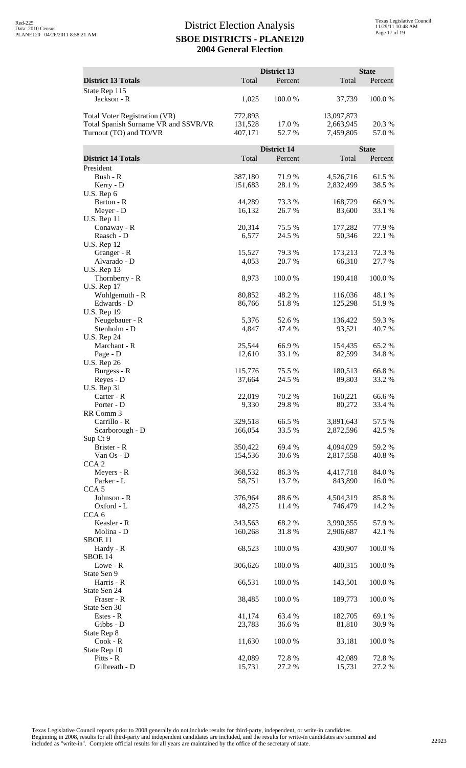|                                                                |                    | District 13        |                         | <b>State</b>    |
|----------------------------------------------------------------|--------------------|--------------------|-------------------------|-----------------|
| <b>District 13 Totals</b>                                      | Total              | Percent            | Total                   | Percent         |
| State Rep 115<br>Jackson - R                                   | 1,025              | 100.0%             | 37,739                  | 100.0 %         |
|                                                                |                    |                    |                         |                 |
| Total Voter Registration (VR)                                  | 772,893            | 17.0 %             | 13,097,873<br>2,663,945 |                 |
| Total Spanish Surname VR and SSVR/VR<br>Turnout (TO) and TO/VR | 131,528<br>407,171 | 52.7%              | 7,459,805               | 20.3 %<br>57.0% |
|                                                                |                    | <b>District 14</b> |                         | <b>State</b>    |
| <b>District 14 Totals</b>                                      | Total              | Percent            | Total                   | Percent         |
| President                                                      |                    |                    |                         |                 |
| Bush - R<br>Kerry - D                                          | 387,180<br>151,683 | 71.9 %<br>28.1 %   | 4,526,716<br>2,832,499  | 61.5%<br>38.5 % |
| U.S. Rep 6                                                     |                    |                    |                         |                 |
| Barton - R<br>Meyer - D                                        | 44,289<br>16,132   | 73.3 %<br>26.7%    | 168,729<br>83,600       | 66.9%<br>33.1 % |
| <b>U.S. Rep 11</b>                                             |                    |                    |                         |                 |
| Conaway - R                                                    | 20,314             | 75.5 %             | 177,282                 | 77.9 %          |
| Raasch - D<br><b>U.S. Rep 12</b>                               | 6,577              | 24.5 %             | 50,346                  | 22.1 %          |
| Granger - R                                                    | 15,527             | 79.3 %             | 173,213                 | 72.3 %          |
| Alvarado - D<br><b>U.S. Rep 13</b>                             | 4,053              | 20.7%              | 66,310                  | 27.7 %          |
| Thornberry - R                                                 | 8,973              | 100.0%             | 190,418                 | 100.0%          |
| <b>U.S. Rep 17</b>                                             |                    |                    |                         |                 |
| Wohlgemuth - R<br>Edwards - D                                  | 80,852<br>86,766   | 48.2%<br>51.8%     | 116,036<br>125,298      | 48.1 %<br>51.9% |
| <b>U.S. Rep 19</b>                                             |                    |                    |                         |                 |
| Neugebauer - R                                                 | 5,376              | 52.6 %             | 136,422                 | 59.3%           |
| Stenholm - D<br><b>U.S. Rep 24</b>                             | 4,847              | 47.4 %             | 93,521                  | 40.7 %          |
| Marchant - R                                                   | 25,544             | 66.9%              | 154,435                 | 65.2%           |
| Page - D<br><b>U.S. Rep 26</b>                                 | 12,610             | 33.1 %             | 82,599                  | 34.8%           |
| Burgess - R                                                    | 115,776            | 75.5 %             | 180,513                 | 66.8%           |
| Reyes - D                                                      | 37,664             | 24.5 %             | 89,803                  | 33.2 %          |
| <b>U.S. Rep 31</b><br>Carter - R                               | 22,019             | 70.2 %             | 160,221                 | 66.6%           |
| Porter - D                                                     | 9,330              | 29.8 %             | 80,272                  | 33.4 %          |
| RR Comm 3<br>Carrillo - R                                      | 329,518            | 66.5%              | 3,891,643               | 57.5 %          |
| Scarborough - D                                                | 166,054            | 33.5 %             | 2,872,596               | 42.5 %          |
| Sup Ct 9                                                       |                    |                    |                         |                 |
| Brister - R<br>Van Os - D                                      | 350,422<br>154,536 | 69.4 %<br>30.6%    | 4,094,029<br>2,817,558  | 59.2 %<br>40.8% |
| CCA <sub>2</sub>                                               |                    |                    |                         |                 |
| Meyers - R<br>Parker - L                                       | 368,532<br>58,751  | 86.3%<br>13.7 %    | 4,417,718<br>843,890    | 84.0%<br>16.0%  |
| CCA <sub>5</sub>                                               |                    |                    |                         |                 |
| Johnson - R                                                    | 376,964            | 88.6%              | 4,504,319               | 85.8%           |
| Oxford - L<br>CCA <sub>6</sub>                                 | 48,275             | 11.4 %             | 746,479                 | 14.2 %          |
| Keasler - R                                                    | 343,563            | 68.2%              | 3,990,355               | 57.9%           |
| Molina - D<br>SBOE <sub>11</sub>                               | 160,268            | 31.8%              | 2,906,687               | 42.1 %          |
| Hardy - R                                                      | 68,523             | 100.0%             | 430,907                 | 100.0%          |
| SBOE 14                                                        |                    |                    |                         |                 |
| Lowe - R<br>State Sen 9                                        | 306,626            | 100.0%             | 400,315                 | 100.0%          |
| Harris - R                                                     | 66,531             | 100.0%             | 143,501                 | 100.0%          |
| State Sen 24                                                   | 38,485             | 100.0%             | 189,773                 | 100.0%          |
| Fraser - R<br>State Sen 30                                     |                    |                    |                         |                 |
| Estes - R                                                      | 41,174             | 63.4 %             | 182,705                 | 69.1 %          |
| Gibbs - D<br>State Rep 8                                       | 23,783             | 36.6%              | 81,810                  | 30.9%           |
| Cook - R                                                       | 11,630             | 100.0%             | 33,181                  | 100.0%          |
| State Rep 10<br>Pitts - R                                      | 42,089             | 72.8%              | 42,089                  | 72.8%           |
| Gilbreath - D                                                  | 15,731             | 27.2 %             | 15,731                  | 27.2 %          |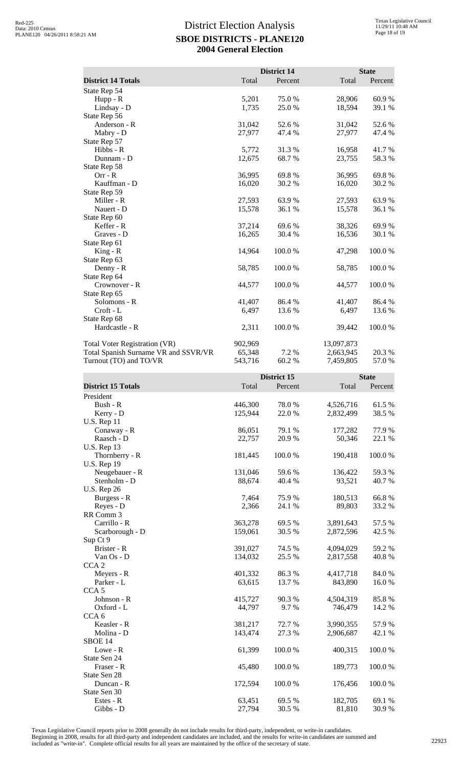|                                      |         | <b>District 14</b> |            | <b>State</b> |
|--------------------------------------|---------|--------------------|------------|--------------|
| <b>District 14 Totals</b>            | Total   | Percent            | Total      | Percent      |
| State Rep 54                         |         |                    |            |              |
| $Hupp - R$                           | 5,201   | 75.0 %             | 28,906     | 60.9%        |
| Lindsay - D                          | 1,735   | 25.0%              | 18,594     | 39.1 %       |
| State Rep 56                         |         |                    |            |              |
| Anderson - R                         | 31,042  | 52.6 %             | 31,042     | 52.6%        |
| Mabry - D                            | 27,977  | 47.4 %             | 27,977     | 47.4 %       |
| State Rep 57                         |         |                    |            |              |
| Hibbs - R                            | 5,772   | 31.3 %             | 16,958     | 41.7 %       |
| Dunnam - D                           | 12,675  | 68.7%              | 23,755     | 58.3%        |
| State Rep 58                         |         |                    |            |              |
| $Orr - R$                            | 36,995  | 69.8%              | 36,995     | 69.8%        |
| Kauffman - D                         | 16,020  | 30.2 %             | 16,020     | 30.2 %       |
| State Rep 59                         |         |                    |            |              |
| Miller - R                           | 27,593  | 63.9%              | 27,593     | 63.9%        |
| Nauert - D                           | 15,578  | 36.1 %             | 15,578     | 36.1 %       |
| State Rep 60                         |         |                    |            |              |
| Keffer - R                           | 37,214  | 69.6 %             | 38,326     | 69.9%        |
| Graves - D                           | 16,265  | 30.4 %             | 16,536     | 30.1 %       |
| State Rep 61                         |         |                    |            |              |
| $King - R$                           | 14,964  | 100.0%             | 47,298     | 100.0%       |
| State Rep 63                         |         |                    |            |              |
| Denny - R                            | 58,785  | 100.0%             | 58,785     | 100.0%       |
| State Rep 64                         |         |                    |            |              |
| Crownover - R                        | 44,577  | 100.0%             | 44,577     | 100.0%       |
| State Rep 65                         |         |                    |            |              |
| Solomons - R                         | 41,407  | 86.4 %             | 41,407     | 86.4 %       |
| $C\text{roft}$ - $L$                 | 6,497   | 13.6 %             | 6,497      | 13.6 %       |
| State Rep 68                         |         |                    |            |              |
| Hardcastle - R                       | 2,311   | 100.0%             | 39,442     | 100.0%       |
| Total Voter Registration (VR)        | 902,969 |                    | 13,097,873 |              |
| Total Spanish Surname VR and SSVR/VR | 65,348  | 7.2 %              | 2,663,945  | 20.3 %       |
| Turnout (TO) and TO/VR               | 543,716 | 60.2 %             | 7,459,805  | 57.0%        |

|                           | District 15 |         | <b>State</b> |         |
|---------------------------|-------------|---------|--------------|---------|
| <b>District 15 Totals</b> | Total       | Percent | Total        | Percent |
| President                 |             |         |              |         |
| Bush - R                  | 446,300     | 78.0%   | 4,526,716    | 61.5%   |
| Kerry - D                 | 125,944     | 22.0%   | 2,832,499    | 38.5%   |
| <b>U.S. Rep 11</b>        |             |         |              |         |
| Conaway - R               | 86,051      | 79.1 %  | 177,282      | 77.9%   |
| Raasch - D                | 22,757      | 20.9%   | 50,346       | 22.1 %  |
| <b>U.S. Rep 13</b>        |             |         |              |         |
| Thornberry - R            | 181,445     | 100.0%  | 190,418      | 100.0%  |
| <b>U.S. Rep 19</b>        |             |         |              |         |
| Neugebauer - R            | 131,046     | 59.6 %  | 136,422      | 59.3%   |
| Stenholm - D              | 88,674      | 40.4 %  | 93,521       | 40.7%   |
| <b>U.S. Rep 26</b>        |             |         |              |         |
| Burgess - R               | 7,464       | 75.9%   | 180,513      | 66.8%   |
| Reyes - D                 | 2,366       | 24.1 %  | 89,803       | 33.2 %  |
| RR Comm 3                 |             |         |              |         |
| Carrillo - R              | 363,278     | 69.5 %  | 3,891,643    | 57.5 %  |
| Scarborough - D           | 159,061     | 30.5 %  | 2,872,596    | 42.5 %  |
| Sup Ct 9                  |             |         |              |         |
| Brister - R               | 391,027     | 74.5 %  | 4,094,029    | 59.2%   |
| Van Os - D                | 134,032     | 25.5 %  | 2,817,558    | 40.8%   |
| CCA <sub>2</sub>          |             |         |              |         |
| Meyers - R                | 401,332     | 86.3%   | 4,417,718    | 84.0%   |
| Parker - L                | 63,615      | 13.7 %  | 843,890      | 16.0%   |
| CCA <sub>5</sub>          |             |         |              |         |
| Johnson - R               | 415,727     | 90.3 %  | 4,504,319    | 85.8%   |
| Oxford - L                | 44,797      | 9.7%    | 746,479      | 14.2 %  |
| CCA <sub>6</sub>          |             |         |              |         |
| Keasler - R               | 381,217     | 72.7%   | 3,990,355    | 57.9%   |
| Molina - D                | 143,474     | 27.3 %  | 2,906,687    | 42.1 %  |
| SBOE 14                   |             |         |              |         |
| Lowe - R                  | 61,399      | 100.0%  | 400,315      | 100.0%  |
| State Sen 24              |             |         |              |         |
| Fraser - R                | 45,480      | 100.0%  | 189,773      | 100.0%  |
| State Sen 28              |             |         |              |         |
| Duncan - R                | 172,594     | 100.0%  | 176,456      | 100.0%  |
| State Sen 30              |             |         |              |         |
| Estes - R                 | 63,451      | 69.5%   | 182,705      | 69.1 %  |
| Gibbs - D                 | 27,794      | 30.5 %  | 81,810       | 30.9%   |
|                           |             |         |              |         |